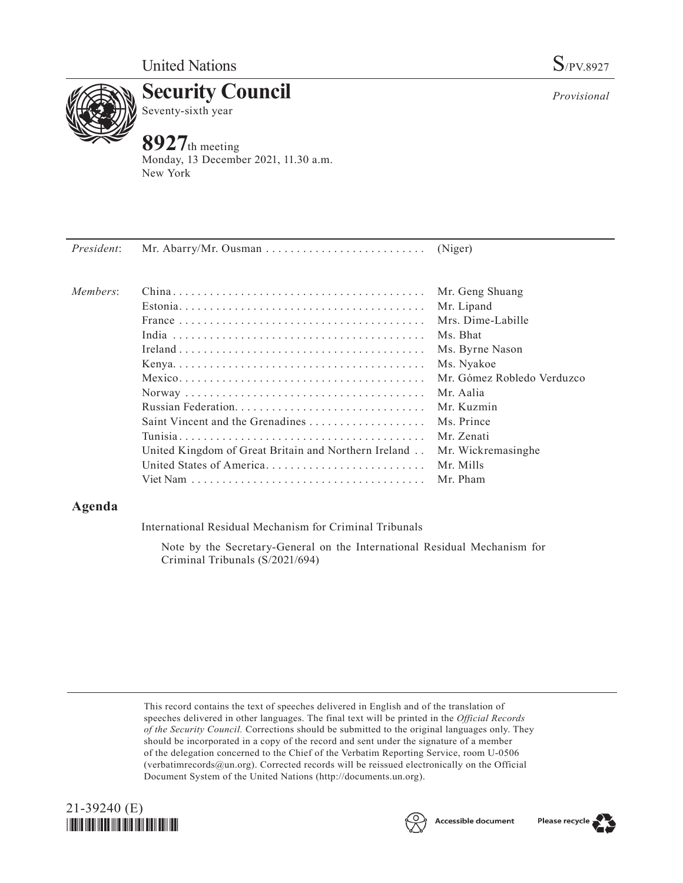

**Security Council** Seventy-sixth year

# **8927**th meeting

Monday, 13 December 2021, 11.30 a.m. New York

| President: |                                                      |                            |
|------------|------------------------------------------------------|----------------------------|
| Members:   |                                                      | Mr. Geng Shuang            |
|            |                                                      | Mr. Lipand                 |
|            |                                                      | Mrs. Dime-Labille          |
|            |                                                      | Ms. Bhat                   |
|            |                                                      | Ms. Byrne Nason            |
|            |                                                      | Ms. Nyakoe                 |
|            |                                                      | Mr. Gómez Robledo Verduzco |
|            |                                                      | Mr. Aalia                  |
|            |                                                      | Mr. Kuzmin                 |
|            | Saint Vincent and the Grenadines                     | Ms. Prince                 |
|            |                                                      | Mr. Zenati                 |
|            | United Kingdom of Great Britain and Northern Ireland | Mr. Wickremasinghe         |
|            | United States of America                             | Mr. Mills                  |
|            |                                                      | Mr. Pham                   |
|            |                                                      |                            |

# **Agenda**

International Residual Mechanism for Criminal Tribunals

Note by the Secretary-General on the International Residual Mechanism for Criminal Tribunals (S/2021/694)

This record contains the text of speeches delivered in English and of the translation of speeches delivered in other languages. The final text will be printed in the *Official Records of the Security Council.* Corrections should be submitted to the original languages only. They should be incorporated in a copy of the record and sent under the signature of a member of the delegation concerned to the Chief of the Verbatim Reporting Service, room U-0506 (verbatimrecords@un.org). Corrected records will be reissued electronically on the Official Document System of the United Nations (http://documents.un.org).







*Provisional*

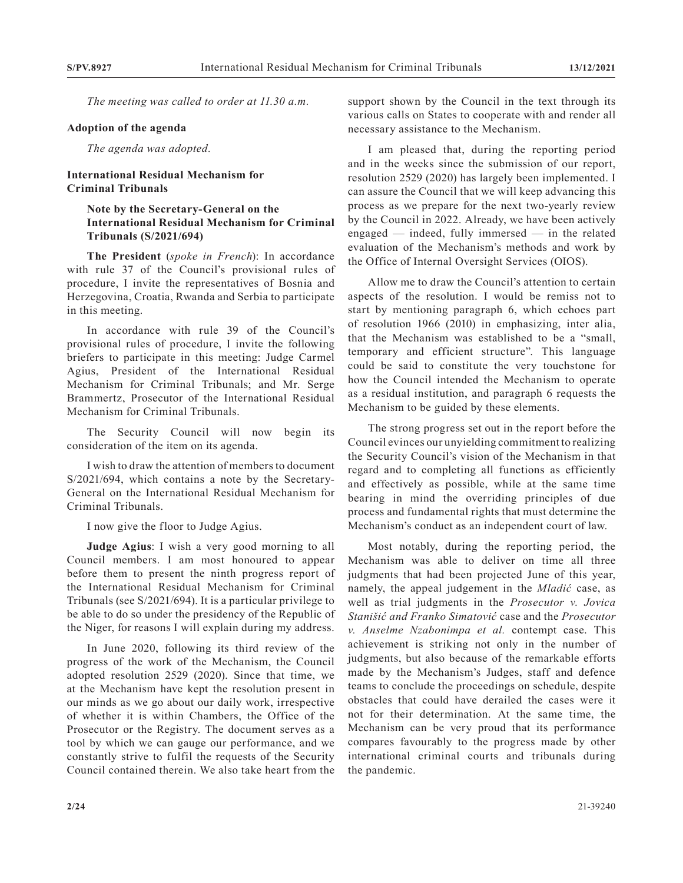*The meeting was called to order at 11.30 a.m.*

#### **Adoption of the agenda**

*The agenda was adopted.*

### **International Residual Mechanism for Criminal Tribunals**

## **Note by the Secretary-General on the International Residual Mechanism for Criminal Tribunals (S/2021/694)**

**The President** (*spoke in French*): In accordance with rule 37 of the Council's provisional rules of procedure, I invite the representatives of Bosnia and Herzegovina, Croatia, Rwanda and Serbia to participate in this meeting.

In accordance with rule 39 of the Council's provisional rules of procedure, I invite the following briefers to participate in this meeting: Judge Carmel Agius, President of the International Residual Mechanism for Criminal Tribunals; and Mr. Serge Brammertz, Prosecutor of the International Residual Mechanism for Criminal Tribunals.

The Security Council will now begin its consideration of the item on its agenda.

I wish to draw the attention of members to document S/2021/694, which contains a note by the Secretary-General on the International Residual Mechanism for Criminal Tribunals.

I now give the floor to Judge Agius.

**Judge Agius**: I wish a very good morning to all Council members. I am most honoured to appear before them to present the ninth progress report of the International Residual Mechanism for Criminal Tribunals (see S/2021/694). It is a particular privilege to be able to do so under the presidency of the Republic of the Niger, for reasons I will explain during my address.

In June 2020, following its third review of the progress of the work of the Mechanism, the Council adopted resolution 2529 (2020). Since that time, we at the Mechanism have kept the resolution present in our minds as we go about our daily work, irrespective of whether it is within Chambers, the Office of the Prosecutor or the Registry. The document serves as a tool by which we can gauge our performance, and we constantly strive to fulfil the requests of the Security Council contained therein. We also take heart from the support shown by the Council in the text through its various calls on States to cooperate with and render all necessary assistance to the Mechanism.

I am pleased that, during the reporting period and in the weeks since the submission of our report, resolution 2529 (2020) has largely been implemented. I can assure the Council that we will keep advancing this process as we prepare for the next two-yearly review by the Council in 2022. Already, we have been actively engaged — indeed, fully immersed — in the related evaluation of the Mechanism's methods and work by the Office of Internal Oversight Services (OIOS).

Allow me to draw the Council's attention to certain aspects of the resolution. I would be remiss not to start by mentioning paragraph 6, which echoes part of resolution 1966 (2010) in emphasizing, inter alia, that the Mechanism was established to be a "small, temporary and efficient structure". This language could be said to constitute the very touchstone for how the Council intended the Mechanism to operate as a residual institution, and paragraph 6 requests the Mechanism to be guided by these elements.

The strong progress set out in the report before the Council evinces our unyielding commitment to realizing the Security Council's vision of the Mechanism in that regard and to completing all functions as efficiently and effectively as possible, while at the same time bearing in mind the overriding principles of due process and fundamental rights that must determine the Mechanism's conduct as an independent court of law.

Most notably, during the reporting period, the Mechanism was able to deliver on time all three judgments that had been projected June of this year, namely, the appeal judgement in the *Mladić* case, as well as trial judgments in the *Prosecutor v. Jovica Stanišić and Franko Simatović* case and the *Prosecutor v. Anselme Nzabonimpa et al.* contempt case. This achievement is striking not only in the number of judgments, but also because of the remarkable efforts made by the Mechanism's Judges, staff and defence teams to conclude the proceedings on schedule, despite obstacles that could have derailed the cases were it not for their determination. At the same time, the Mechanism can be very proud that its performance compares favourably to the progress made by other international criminal courts and tribunals during the pandemic.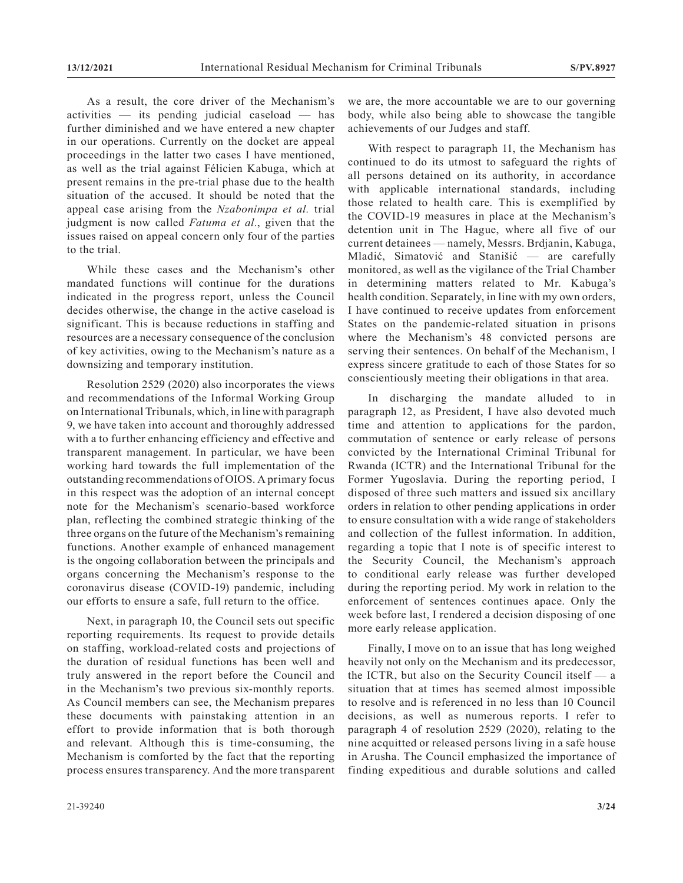As a result, the core driver of the Mechanism's activities — its pending judicial caseload — has further diminished and we have entered a new chapter in our operations. Currently on the docket are appeal proceedings in the latter two cases I have mentioned, as well as the trial against Félicien Kabuga, which at present remains in the pre-trial phase due to the health situation of the accused. It should be noted that the appeal case arising from the *Nzabonimpa et al.* trial judgment is now called *Fatuma et al.*, given that the issues raised on appeal concern only four of the parties to the trial.

While these cases and the Mechanism's other mandated functions will continue for the durations indicated in the progress report, unless the Council decides otherwise, the change in the active caseload is significant. This is because reductions in staffing and resources are a necessary consequence of the conclusion of key activities, owing to the Mechanism's nature as a downsizing and temporary institution.

Resolution 2529 (2020) also incorporates the views and recommendations of the Informal Working Group on International Tribunals, which, in line with paragraph 9, we have taken into account and thoroughly addressed with a to further enhancing efficiency and effective and transparent management. In particular, we have been working hard towards the full implementation of the outstanding recommendations of OIOS. A primary focus in this respect was the adoption of an internal concept note for the Mechanism's scenario-based workforce plan, reflecting the combined strategic thinking of the three organs on the future of the Mechanism's remaining functions. Another example of enhanced management is the ongoing collaboration between the principals and organs concerning the Mechanism's response to the coronavirus disease (COVID-19) pandemic, including our efforts to ensure a safe, full return to the office.

Next, in paragraph 10, the Council sets out specific reporting requirements. Its request to provide details on staffing, workload-related costs and projections of the duration of residual functions has been well and truly answered in the report before the Council and in the Mechanism's two previous six-monthly reports. As Council members can see, the Mechanism prepares these documents with painstaking attention in an effort to provide information that is both thorough and relevant. Although this is time-consuming, the Mechanism is comforted by the fact that the reporting process ensures transparency. And the more transparent

we are, the more accountable we are to our governing body, while also being able to showcase the tangible achievements of our Judges and staff.

With respect to paragraph 11, the Mechanism has continued to do its utmost to safeguard the rights of all persons detained on its authority, in accordance with applicable international standards, including those related to health care. This is exemplified by the COVID-19 measures in place at the Mechanism's detention unit in The Hague, where all five of our current detainees — namely, Messrs. Brdjanin, Kabuga, Mladić, Simatović and Stanišić — are carefully monitored, as well as the vigilance of the Trial Chamber in determining matters related to Mr. Kabuga's health condition. Separately, in line with my own orders, I have continued to receive updates from enforcement States on the pandemic-related situation in prisons where the Mechanism's 48 convicted persons are serving their sentences. On behalf of the Mechanism, I express sincere gratitude to each of those States for so conscientiously meeting their obligations in that area.

In discharging the mandate alluded to in paragraph 12, as President, I have also devoted much time and attention to applications for the pardon, commutation of sentence or early release of persons convicted by the International Criminal Tribunal for Rwanda (ICTR) and the International Tribunal for the Former Yugoslavia. During the reporting period, I disposed of three such matters and issued six ancillary orders in relation to other pending applications in order to ensure consultation with a wide range of stakeholders and collection of the fullest information. In addition, regarding a topic that I note is of specific interest to the Security Council, the Mechanism's approach to conditional early release was further developed during the reporting period. My work in relation to the enforcement of sentences continues apace. Only the week before last, I rendered a decision disposing of one more early release application.

Finally, I move on to an issue that has long weighed heavily not only on the Mechanism and its predecessor, the ICTR, but also on the Security Council itself — a situation that at times has seemed almost impossible to resolve and is referenced in no less than 10 Council decisions, as well as numerous reports. I refer to paragraph 4 of resolution 2529 (2020), relating to the nine acquitted or released persons living in a safe house in Arusha. The Council emphasized the importance of finding expeditious and durable solutions and called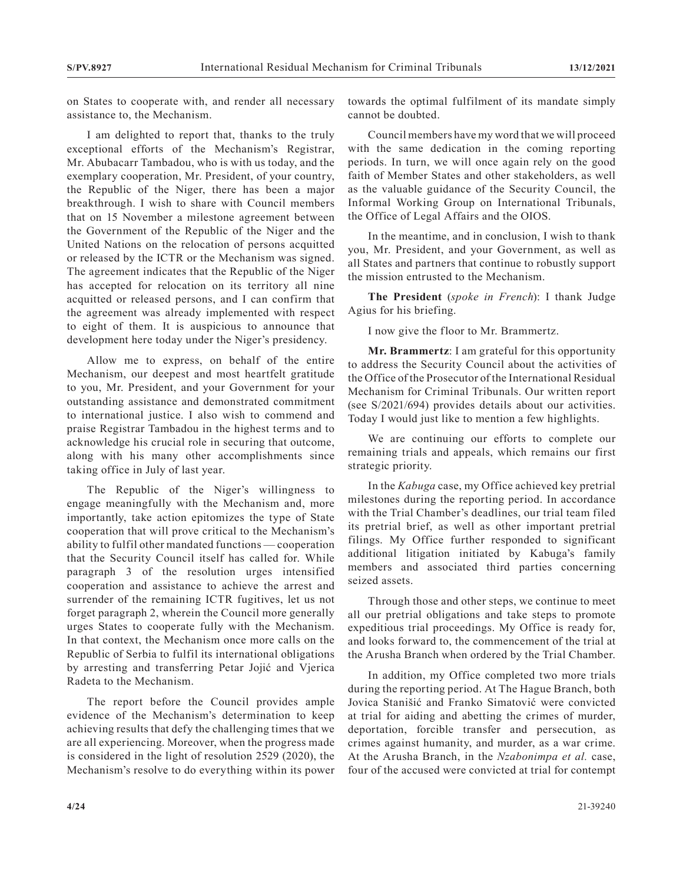on States to cooperate with, and render all necessary assistance to, the Mechanism.

I am delighted to report that, thanks to the truly exceptional efforts of the Mechanism's Registrar, Mr. Abubacarr Tambadou, who is with us today, and the exemplary cooperation, Mr. President, of your country, the Republic of the Niger, there has been a major breakthrough. I wish to share with Council members that on 15 November a milestone agreement between the Government of the Republic of the Niger and the United Nations on the relocation of persons acquitted or released by the ICTR or the Mechanism was signed. The agreement indicates that the Republic of the Niger has accepted for relocation on its territory all nine acquitted or released persons, and I can confirm that the agreement was already implemented with respect to eight of them. It is auspicious to announce that development here today under the Niger's presidency.

Allow me to express, on behalf of the entire Mechanism, our deepest and most heartfelt gratitude to you, Mr. President, and your Government for your outstanding assistance and demonstrated commitment to international justice. I also wish to commend and praise Registrar Tambadou in the highest terms and to acknowledge his crucial role in securing that outcome, along with his many other accomplishments since taking office in July of last year.

The Republic of the Niger's willingness to engage meaningfully with the Mechanism and, more importantly, take action epitomizes the type of State cooperation that will prove critical to the Mechanism's ability to fulfil other mandated functions — cooperation that the Security Council itself has called for. While paragraph 3 of the resolution urges intensified cooperation and assistance to achieve the arrest and surrender of the remaining ICTR fugitives, let us not forget paragraph 2, wherein the Council more generally urges States to cooperate fully with the Mechanism. In that context, the Mechanism once more calls on the Republic of Serbia to fulfil its international obligations by arresting and transferring Petar Jojić and Vjerica Radeta to the Mechanism.

The report before the Council provides ample evidence of the Mechanism's determination to keep achieving results that defy the challenging times that we are all experiencing. Moreover, when the progress made is considered in the light of resolution 2529 (2020), the Mechanism's resolve to do everything within its power towards the optimal fulfilment of its mandate simply cannot be doubted.

Council members have my word that we will proceed with the same dedication in the coming reporting periods. In turn, we will once again rely on the good faith of Member States and other stakeholders, as well as the valuable guidance of the Security Council, the Informal Working Group on International Tribunals, the Office of Legal Affairs and the OIOS.

In the meantime, and in conclusion, I wish to thank you, Mr. President, and your Government, as well as all States and partners that continue to robustly support the mission entrusted to the Mechanism.

**The President** (*spoke in French*): I thank Judge Agius for his briefing.

I now give the floor to Mr. Brammertz.

**Mr. Brammertz**: I am grateful for this opportunity to address the Security Council about the activities of the Office of the Prosecutor of the International Residual Mechanism for Criminal Tribunals. Our written report (see S/2021/694) provides details about our activities. Today I would just like to mention a few highlights.

We are continuing our efforts to complete our remaining trials and appeals, which remains our first strategic priority.

In the *Kabuga* case, my Office achieved key pretrial milestones during the reporting period. In accordance with the Trial Chamber's deadlines, our trial team filed its pretrial brief, as well as other important pretrial filings. My Office further responded to significant additional litigation initiated by Kabuga's family members and associated third parties concerning seized assets.

Through those and other steps, we continue to meet all our pretrial obligations and take steps to promote expeditious trial proceedings. My Office is ready for, and looks forward to, the commencement of the trial at the Arusha Branch when ordered by the Trial Chamber.

In addition, my Office completed two more trials during the reporting period. At The Hague Branch, both Jovica Stanišić and Franko Simatović were convicted at trial for aiding and abetting the crimes of murder, deportation, forcible transfer and persecution, as crimes against humanity, and murder, as a war crime. At the Arusha Branch, in the *Nzabonimpa et al.* case, four of the accused were convicted at trial for contempt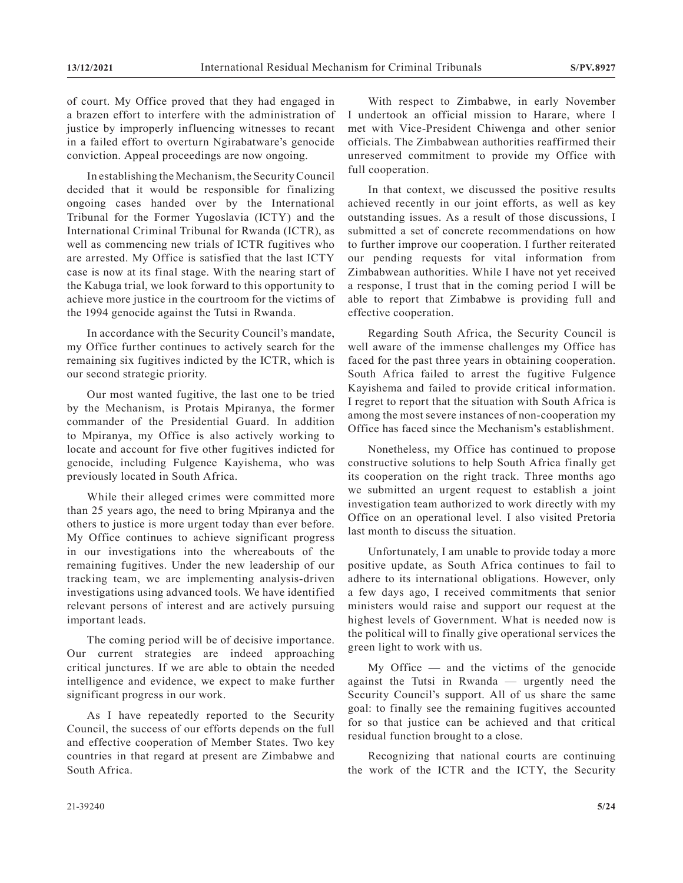of court. My Office proved that they had engaged in a brazen effort to interfere with the administration of justice by improperly influencing witnesses to recant in a failed effort to overturn Ngirabatware's genocide conviction. Appeal proceedings are now ongoing.

In establishing the Mechanism, the Security Council decided that it would be responsible for finalizing ongoing cases handed over by the International Tribunal for the Former Yugoslavia (ICTY) and the International Criminal Tribunal for Rwanda (ICTR), as well as commencing new trials of ICTR fugitives who are arrested. My Office is satisfied that the last ICTY case is now at its final stage. With the nearing start of the Kabuga trial, we look forward to this opportunity to achieve more justice in the courtroom for the victims of the 1994 genocide against the Tutsi in Rwanda.

In accordance with the Security Council's mandate, my Office further continues to actively search for the remaining six fugitives indicted by the ICTR, which is our second strategic priority.

Our most wanted fugitive, the last one to be tried by the Mechanism, is Protais Mpiranya, the former commander of the Presidential Guard. In addition to Mpiranya, my Office is also actively working to locate and account for five other fugitives indicted for genocide, including Fulgence Kayishema, who was previously located in South Africa.

While their alleged crimes were committed more than 25 years ago, the need to bring Mpiranya and the others to justice is more urgent today than ever before. My Office continues to achieve significant progress in our investigations into the whereabouts of the remaining fugitives. Under the new leadership of our tracking team, we are implementing analysis-driven investigations using advanced tools. We have identified relevant persons of interest and are actively pursuing important leads.

The coming period will be of decisive importance. Our current strategies are indeed approaching critical junctures. If we are able to obtain the needed intelligence and evidence, we expect to make further significant progress in our work.

As I have repeatedly reported to the Security Council, the success of our efforts depends on the full and effective cooperation of Member States. Two key countries in that regard at present are Zimbabwe and South Africa.

With respect to Zimbabwe, in early November I undertook an official mission to Harare, where I met with Vice-President Chiwenga and other senior officials. The Zimbabwean authorities reaffirmed their unreserved commitment to provide my Office with full cooperation.

In that context, we discussed the positive results achieved recently in our joint efforts, as well as key outstanding issues. As a result of those discussions, I submitted a set of concrete recommendations on how to further improve our cooperation. I further reiterated our pending requests for vital information from Zimbabwean authorities. While I have not yet received a response, I trust that in the coming period I will be able to report that Zimbabwe is providing full and effective cooperation.

Regarding South Africa, the Security Council is well aware of the immense challenges my Office has faced for the past three years in obtaining cooperation. South Africa failed to arrest the fugitive Fulgence Kayishema and failed to provide critical information. I regret to report that the situation with South Africa is among the most severe instances of non-cooperation my Office has faced since the Mechanism's establishment.

Nonetheless, my Office has continued to propose constructive solutions to help South Africa finally get its cooperation on the right track. Three months ago we submitted an urgent request to establish a joint investigation team authorized to work directly with my Office on an operational level. I also visited Pretoria last month to discuss the situation.

Unfortunately, I am unable to provide today a more positive update, as South Africa continues to fail to adhere to its international obligations. However, only a few days ago, I received commitments that senior ministers would raise and support our request at the highest levels of Government. What is needed now is the political will to finally give operational services the green light to work with us.

My Office — and the victims of the genocide against the Tutsi in Rwanda — urgently need the Security Council's support. All of us share the same goal: to finally see the remaining fugitives accounted for so that justice can be achieved and that critical residual function brought to a close.

Recognizing that national courts are continuing the work of the ICTR and the ICTY, the Security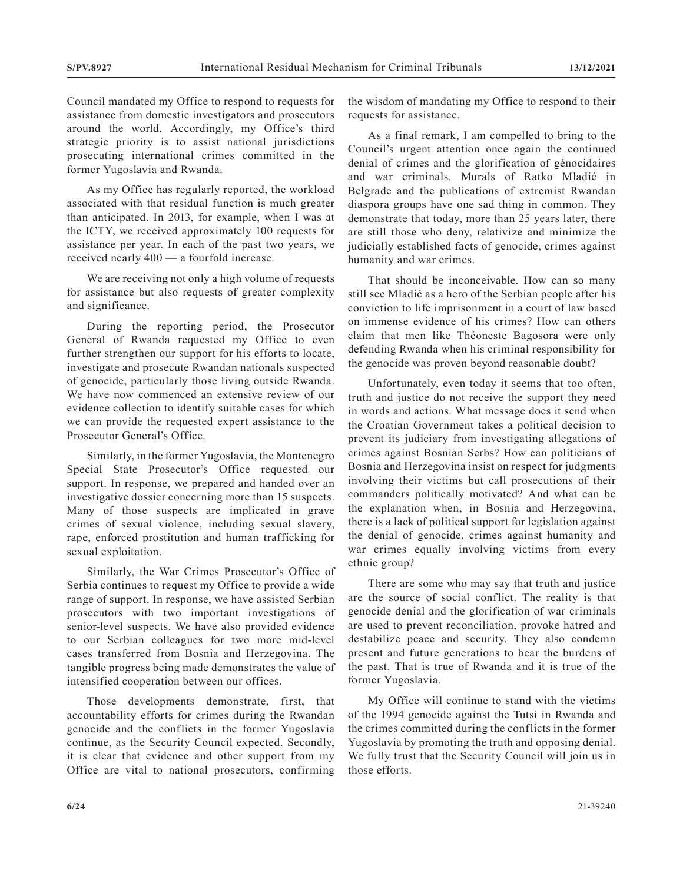Council mandated my Office to respond to requests for assistance from domestic investigators and prosecutors around the world. Accordingly, my Office's third strategic priority is to assist national jurisdictions prosecuting international crimes committed in the former Yugoslavia and Rwanda.

As my Office has regularly reported, the workload associated with that residual function is much greater than anticipated. In 2013, for example, when I was at the ICTY, we received approximately 100 requests for assistance per year. In each of the past two years, we received nearly 400 — a fourfold increase.

We are receiving not only a high volume of requests for assistance but also requests of greater complexity and significance.

During the reporting period, the Prosecutor General of Rwanda requested my Office to even further strengthen our support for his efforts to locate, investigate and prosecute Rwandan nationals suspected of genocide, particularly those living outside Rwanda. We have now commenced an extensive review of our evidence collection to identify suitable cases for which we can provide the requested expert assistance to the Prosecutor General's Office.

Similarly, in the former Yugoslavia, the Montenegro Special State Prosecutor's Office requested our support. In response, we prepared and handed over an investigative dossier concerning more than 15 suspects. Many of those suspects are implicated in grave crimes of sexual violence, including sexual slavery, rape, enforced prostitution and human trafficking for sexual exploitation.

Similarly, the War Crimes Prosecutor's Office of Serbia continues to request my Office to provide a wide range of support. In response, we have assisted Serbian prosecutors with two important investigations of senior-level suspects. We have also provided evidence to our Serbian colleagues for two more mid-level cases transferred from Bosnia and Herzegovina. The tangible progress being made demonstrates the value of intensified cooperation between our offices.

Those developments demonstrate, first, that accountability efforts for crimes during the Rwandan genocide and the conflicts in the former Yugoslavia continue, as the Security Council expected. Secondly, it is clear that evidence and other support from my Office are vital to national prosecutors, confirming the wisdom of mandating my Office to respond to their requests for assistance.

As a final remark, I am compelled to bring to the Council's urgent attention once again the continued denial of crimes and the glorification of génocidaires and war criminals. Murals of Ratko Mladić in Belgrade and the publications of extremist Rwandan diaspora groups have one sad thing in common. They demonstrate that today, more than 25 years later, there are still those who deny, relativize and minimize the judicially established facts of genocide, crimes against humanity and war crimes.

That should be inconceivable. How can so many still see Mladić as a hero of the Serbian people after his conviction to life imprisonment in a court of law based on immense evidence of his crimes? How can others claim that men like Théoneste Bagosora were only defending Rwanda when his criminal responsibility for the genocide was proven beyond reasonable doubt?

Unfortunately, even today it seems that too often, truth and justice do not receive the support they need in words and actions. What message does it send when the Croatian Government takes a political decision to prevent its judiciary from investigating allegations of crimes against Bosnian Serbs? How can politicians of Bosnia and Herzegovina insist on respect for judgments involving their victims but call prosecutions of their commanders politically motivated? And what can be the explanation when, in Bosnia and Herzegovina, there is a lack of political support for legislation against the denial of genocide, crimes against humanity and war crimes equally involving victims from every ethnic group?

There are some who may say that truth and justice are the source of social conflict. The reality is that genocide denial and the glorification of war criminals are used to prevent reconciliation, provoke hatred and destabilize peace and security. They also condemn present and future generations to bear the burdens of the past. That is true of Rwanda and it is true of the former Yugoslavia.

My Office will continue to stand with the victims of the 1994 genocide against the Tutsi in Rwanda and the crimes committed during the conflicts in the former Yugoslavia by promoting the truth and opposing denial. We fully trust that the Security Council will join us in those efforts.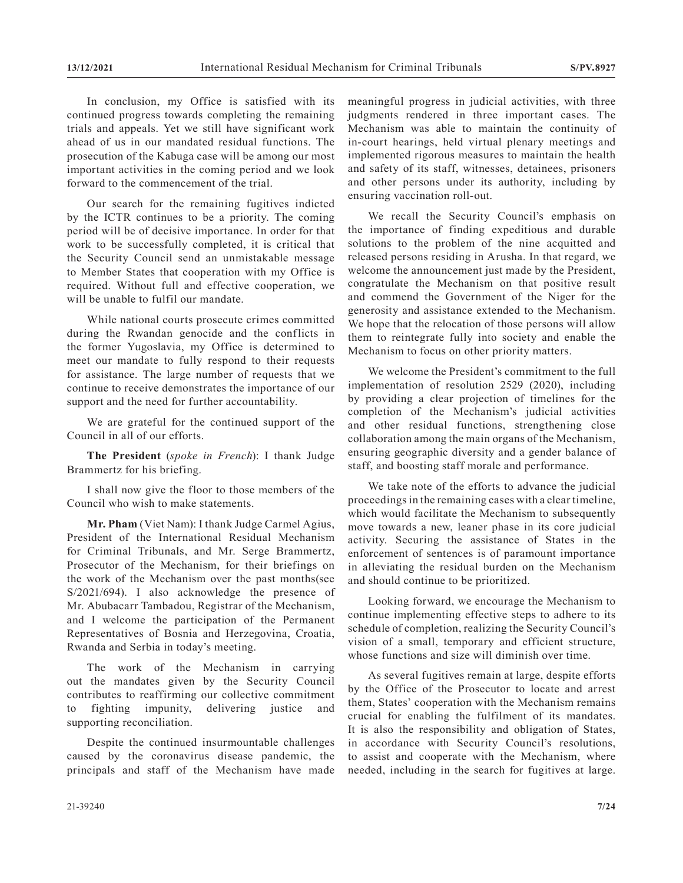In conclusion, my Office is satisfied with its continued progress towards completing the remaining trials and appeals. Yet we still have significant work ahead of us in our mandated residual functions. The prosecution of the Kabuga case will be among our most important activities in the coming period and we look forward to the commencement of the trial.

Our search for the remaining fugitives indicted by the ICTR continues to be a priority. The coming period will be of decisive importance. In order for that work to be successfully completed, it is critical that the Security Council send an unmistakable message to Member States that cooperation with my Office is required. Without full and effective cooperation, we will be unable to fulfil our mandate.

While national courts prosecute crimes committed during the Rwandan genocide and the conflicts in the former Yugoslavia, my Office is determined to meet our mandate to fully respond to their requests for assistance. The large number of requests that we continue to receive demonstrates the importance of our support and the need for further accountability.

We are grateful for the continued support of the Council in all of our efforts.

**The President** (*spoke in French*): I thank Judge Brammertz for his briefing.

I shall now give the floor to those members of the Council who wish to make statements.

**Mr. Pham** (Viet Nam): I thank Judge Carmel Agius, President of the International Residual Mechanism for Criminal Tribunals, and Mr. Serge Brammertz, Prosecutor of the Mechanism, for their briefings on the work of the Mechanism over the past months(see S/2021/694). I also acknowledge the presence of Mr. Abubacarr Tambadou, Registrar of the Mechanism, and I welcome the participation of the Permanent Representatives of Bosnia and Herzegovina, Croatia, Rwanda and Serbia in today's meeting.

The work of the Mechanism in carrying out the mandates given by the Security Council contributes to reaffirming our collective commitment to fighting impunity, delivering justice and supporting reconciliation.

Despite the continued insurmountable challenges caused by the coronavirus disease pandemic, the principals and staff of the Mechanism have made meaningful progress in judicial activities, with three judgments rendered in three important cases. The Mechanism was able to maintain the continuity of in-court hearings, held virtual plenary meetings and implemented rigorous measures to maintain the health and safety of its staff, witnesses, detainees, prisoners and other persons under its authority, including by ensuring vaccination roll-out.

We recall the Security Council's emphasis on the importance of finding expeditious and durable solutions to the problem of the nine acquitted and released persons residing in Arusha. In that regard, we welcome the announcement just made by the President, congratulate the Mechanism on that positive result and commend the Government of the Niger for the generosity and assistance extended to the Mechanism. We hope that the relocation of those persons will allow them to reintegrate fully into society and enable the Mechanism to focus on other priority matters.

We welcome the President's commitment to the full implementation of resolution 2529 (2020), including by providing a clear projection of timelines for the completion of the Mechanism's judicial activities and other residual functions, strengthening close collaboration among the main organs of the Mechanism, ensuring geographic diversity and a gender balance of staff, and boosting staff morale and performance.

We take note of the efforts to advance the judicial proceedings in the remaining cases with a clear timeline, which would facilitate the Mechanism to subsequently move towards a new, leaner phase in its core judicial activity. Securing the assistance of States in the enforcement of sentences is of paramount importance in alleviating the residual burden on the Mechanism and should continue to be prioritized.

Looking forward, we encourage the Mechanism to continue implementing effective steps to adhere to its schedule of completion, realizing the Security Council's vision of a small, temporary and efficient structure, whose functions and size will diminish over time.

As several fugitives remain at large, despite efforts by the Office of the Prosecutor to locate and arrest them, States' cooperation with the Mechanism remains crucial for enabling the fulfilment of its mandates. It is also the responsibility and obligation of States, in accordance with Security Council's resolutions, to assist and cooperate with the Mechanism, where needed, including in the search for fugitives at large.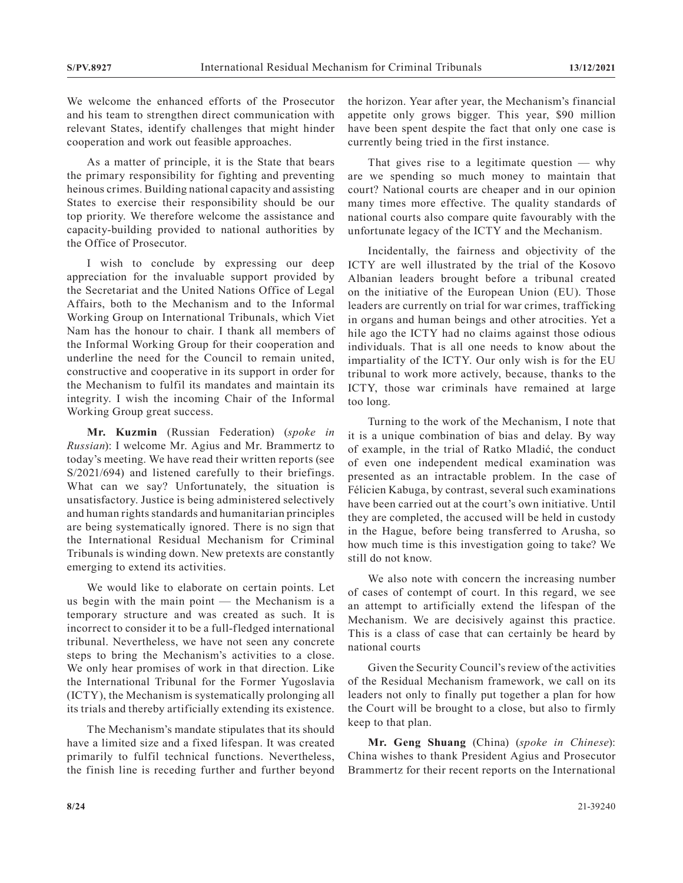We welcome the enhanced efforts of the Prosecutor and his team to strengthen direct communication with relevant States, identify challenges that might hinder cooperation and work out feasible approaches.

As a matter of principle, it is the State that bears the primary responsibility for fighting and preventing heinous crimes. Building national capacity and assisting States to exercise their responsibility should be our top priority. We therefore welcome the assistance and capacity-building provided to national authorities by the Office of Prosecutor.

I wish to conclude by expressing our deep appreciation for the invaluable support provided by the Secretariat and the United Nations Office of Legal Affairs, both to the Mechanism and to the Informal Working Group on International Tribunals, which Viet Nam has the honour to chair. I thank all members of the Informal Working Group for their cooperation and underline the need for the Council to remain united, constructive and cooperative in its support in order for the Mechanism to fulfil its mandates and maintain its integrity. I wish the incoming Chair of the Informal Working Group great success.

**Mr. Kuzmin** (Russian Federation) (*spoke in Russian*): I welcome Mr. Agius and Mr. Brammertz to today's meeting. We have read their written reports (see S/2021/694) and listened carefully to their briefings. What can we say? Unfortunately, the situation is unsatisfactory. Justice is being administered selectively and human rights standards and humanitarian principles are being systematically ignored. There is no sign that the International Residual Mechanism for Criminal Tribunals is winding down. New pretexts are constantly emerging to extend its activities.

We would like to elaborate on certain points. Let us begin with the main point — the Mechanism is a temporary structure and was created as such. It is incorrect to consider it to be a full-fledged international tribunal. Nevertheless, we have not seen any concrete steps to bring the Mechanism's activities to a close. We only hear promises of work in that direction. Like the International Tribunal for the Former Yugoslavia (ICTY), the Mechanism is systematically prolonging all its trials and thereby artificially extending its existence.

The Mechanism's mandate stipulates that its should have a limited size and a fixed lifespan. It was created primarily to fulfil technical functions. Nevertheless, the finish line is receding further and further beyond the horizon. Year after year, the Mechanism's financial appetite only grows bigger. This year, \$90 million have been spent despite the fact that only one case is currently being tried in the first instance.

That gives rise to a legitimate question  $-$  why are we spending so much money to maintain that court? National courts are cheaper and in our opinion many times more effective. The quality standards of national courts also compare quite favourably with the unfortunate legacy of the ICTY and the Mechanism.

Incidentally, the fairness and objectivity of the ICTY are well illustrated by the trial of the Kosovo Albanian leaders brought before a tribunal created on the initiative of the European Union (EU). Those leaders are currently on trial for war crimes, trafficking in organs and human beings and other atrocities. Yet a hile ago the ICTY had no claims against those odious individuals. That is all one needs to know about the impartiality of the ICTY. Our only wish is for the EU tribunal to work more actively, because, thanks to the ICTY, those war criminals have remained at large too long.

Turning to the work of the Mechanism, I note that it is a unique combination of bias and delay. By way of example, in the trial of Ratko Mladić, the conduct of even one independent medical examination was presented as an intractable problem. In the case of Félicien Kabuga, by contrast, several such examinations have been carried out at the court's own initiative. Until they are completed, the accused will be held in custody in the Hague, before being transferred to Arusha, so how much time is this investigation going to take? We still do not know.

We also note with concern the increasing number of cases of contempt of court. In this regard, we see an attempt to artificially extend the lifespan of the Mechanism. We are decisively against this practice. This is a class of case that can certainly be heard by national courts

Given the Security Council's review of the activities of the Residual Mechanism framework, we call on its leaders not only to finally put together a plan for how the Court will be brought to a close, but also to firmly keep to that plan.

**Mr. Geng Shuang** (China) (*spoke in Chinese*): China wishes to thank President Agius and Prosecutor Brammertz for their recent reports on the International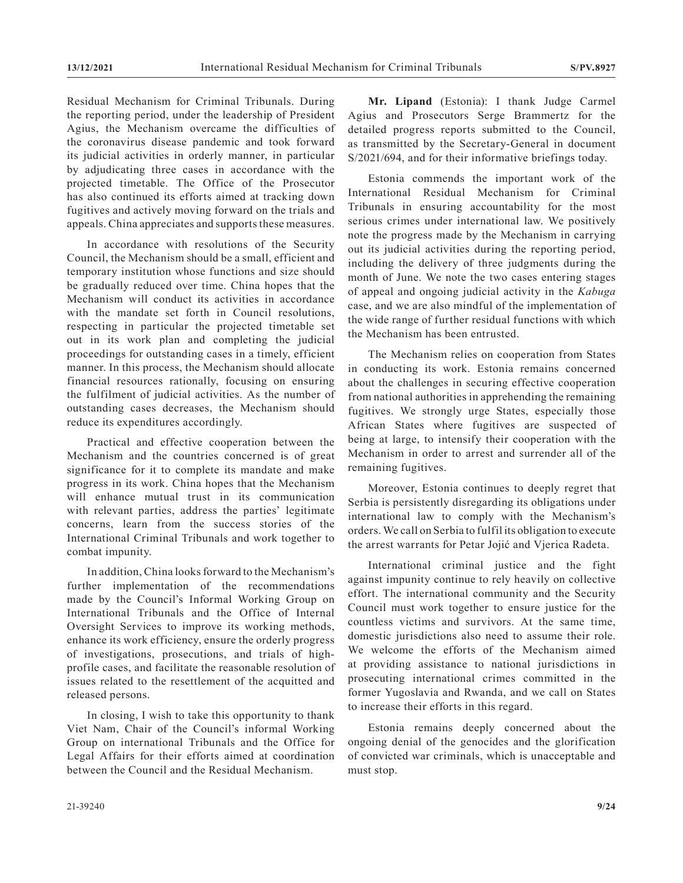Residual Mechanism for Criminal Tribunals. During the reporting period, under the leadership of President Agius, the Mechanism overcame the difficulties of the coronavirus disease pandemic and took forward its judicial activities in orderly manner, in particular by adjudicating three cases in accordance with the projected timetable. The Office of the Prosecutor has also continued its efforts aimed at tracking down fugitives and actively moving forward on the trials and appeals. China appreciates and supports these measures.

In accordance with resolutions of the Security Council, the Mechanism should be a small, efficient and temporary institution whose functions and size should be gradually reduced over time. China hopes that the Mechanism will conduct its activities in accordance with the mandate set forth in Council resolutions, respecting in particular the projected timetable set out in its work plan and completing the judicial proceedings for outstanding cases in a timely, efficient manner. In this process, the Mechanism should allocate financial resources rationally, focusing on ensuring the fulfilment of judicial activities. As the number of outstanding cases decreases, the Mechanism should reduce its expenditures accordingly.

Practical and effective cooperation between the Mechanism and the countries concerned is of great significance for it to complete its mandate and make progress in its work. China hopes that the Mechanism will enhance mutual trust in its communication with relevant parties, address the parties' legitimate concerns, learn from the success stories of the International Criminal Tribunals and work together to combat impunity.

In addition, China looks forward to the Mechanism's further implementation of the recommendations made by the Council's Informal Working Group on International Tribunals and the Office of Internal Oversight Services to improve its working methods, enhance its work efficiency, ensure the orderly progress of investigations, prosecutions, and trials of highprofile cases, and facilitate the reasonable resolution of issues related to the resettlement of the acquitted and released persons.

In closing, I wish to take this opportunity to thank Viet Nam, Chair of the Council's informal Working Group on international Tribunals and the Office for Legal Affairs for their efforts aimed at coordination between the Council and the Residual Mechanism.

**Mr. Lipand** (Estonia): I thank Judge Carmel Agius and Prosecutors Serge Brammertz for the detailed progress reports submitted to the Council, as transmitted by the Secretary-General in document S/2021/694, and for their informative briefings today.

Estonia commends the important work of the International Residual Mechanism for Criminal Tribunals in ensuring accountability for the most serious crimes under international law. We positively note the progress made by the Mechanism in carrying out its judicial activities during the reporting period, including the delivery of three judgments during the month of June. We note the two cases entering stages of appeal and ongoing judicial activity in the *Kabuga* case, and we are also mindful of the implementation of the wide range of further residual functions with which the Mechanism has been entrusted.

The Mechanism relies on cooperation from States in conducting its work. Estonia remains concerned about the challenges in securing effective cooperation from national authorities in apprehending the remaining fugitives. We strongly urge States, especially those African States where fugitives are suspected of being at large, to intensify their cooperation with the Mechanism in order to arrest and surrender all of the remaining fugitives.

Moreover, Estonia continues to deeply regret that Serbia is persistently disregarding its obligations under international law to comply with the Mechanism's orders. We call on Serbia to fulfil its obligation to execute the arrest warrants for Petar Jojić and Vjerica Radeta.

International criminal justice and the fight against impunity continue to rely heavily on collective effort. The international community and the Security Council must work together to ensure justice for the countless victims and survivors. At the same time, domestic jurisdictions also need to assume their role. We welcome the efforts of the Mechanism aimed at providing assistance to national jurisdictions in prosecuting international crimes committed in the former Yugoslavia and Rwanda, and we call on States to increase their efforts in this regard.

Estonia remains deeply concerned about the ongoing denial of the genocides and the glorification of convicted war criminals, which is unacceptable and must stop.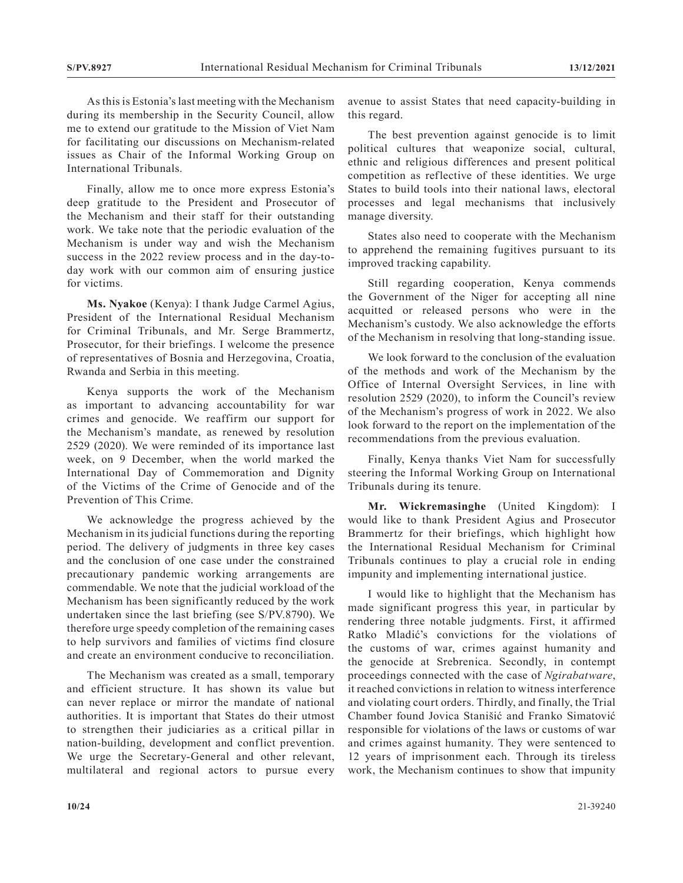As this is Estonia's last meeting with the Mechanism during its membership in the Security Council, allow me to extend our gratitude to the Mission of Viet Nam for facilitating our discussions on Mechanism-related issues as Chair of the Informal Working Group on International Tribunals.

Finally, allow me to once more express Estonia's deep gratitude to the President and Prosecutor of the Mechanism and their staff for their outstanding work. We take note that the periodic evaluation of the Mechanism is under way and wish the Mechanism success in the 2022 review process and in the day-today work with our common aim of ensuring justice for victims.

**Ms. Nyakoe** (Kenya): I thank Judge Carmel Agius, President of the International Residual Mechanism for Criminal Tribunals, and Mr. Serge Brammertz, Prosecutor, for their briefings. I welcome the presence of representatives of Bosnia and Herzegovina, Croatia, Rwanda and Serbia in this meeting.

Kenya supports the work of the Mechanism as important to advancing accountability for war crimes and genocide. We reaffirm our support for the Mechanism's mandate, as renewed by resolution 2529 (2020). We were reminded of its importance last week, on 9 December, when the world marked the International Day of Commemoration and Dignity of the Victims of the Crime of Genocide and of the Prevention of This Crime.

We acknowledge the progress achieved by the Mechanism in its judicial functions during the reporting period. The delivery of judgments in three key cases and the conclusion of one case under the constrained precautionary pandemic working arrangements are commendable. We note that the judicial workload of the Mechanism has been significantly reduced by the work undertaken since the last briefing (see S/PV.8790). We therefore urge speedy completion of the remaining cases to help survivors and families of victims find closure and create an environment conducive to reconciliation.

The Mechanism was created as a small, temporary and efficient structure. It has shown its value but can never replace or mirror the mandate of national authorities. It is important that States do their utmost to strengthen their judiciaries as a critical pillar in nation-building, development and conflict prevention. We urge the Secretary-General and other relevant, multilateral and regional actors to pursue every

avenue to assist States that need capacity-building in this regard.

The best prevention against genocide is to limit political cultures that weaponize social, cultural, ethnic and religious differences and present political competition as reflective of these identities. We urge States to build tools into their national laws, electoral processes and legal mechanisms that inclusively manage diversity.

States also need to cooperate with the Mechanism to apprehend the remaining fugitives pursuant to its improved tracking capability.

Still regarding cooperation, Kenya commends the Government of the Niger for accepting all nine acquitted or released persons who were in the Mechanism's custody. We also acknowledge the efforts of the Mechanism in resolving that long-standing issue.

We look forward to the conclusion of the evaluation of the methods and work of the Mechanism by the Office of Internal Oversight Services, in line with resolution 2529 (2020), to inform the Council's review of the Mechanism's progress of work in 2022. We also look forward to the report on the implementation of the recommendations from the previous evaluation.

Finally, Kenya thanks Viet Nam for successfully steering the Informal Working Group on International Tribunals during its tenure.

**Mr. Wickremasinghe** (United Kingdom): I would like to thank President Agius and Prosecutor Brammertz for their briefings, which highlight how the International Residual Mechanism for Criminal Tribunals continues to play a crucial role in ending impunity and implementing international justice.

I would like to highlight that the Mechanism has made significant progress this year, in particular by rendering three notable judgments. First, it affirmed Ratko Mladić's convictions for the violations of the customs of war, crimes against humanity and the genocide at Srebrenica. Secondly, in contempt proceedings connected with the case of *Ngirabatware*, it reached convictions in relation to witness interference and violating court orders. Thirdly, and finally, the Trial Chamber found Jovica Stanišić and Franko Simatović responsible for violations of the laws or customs of war and crimes against humanity. They were sentenced to 12 years of imprisonment each. Through its tireless work, the Mechanism continues to show that impunity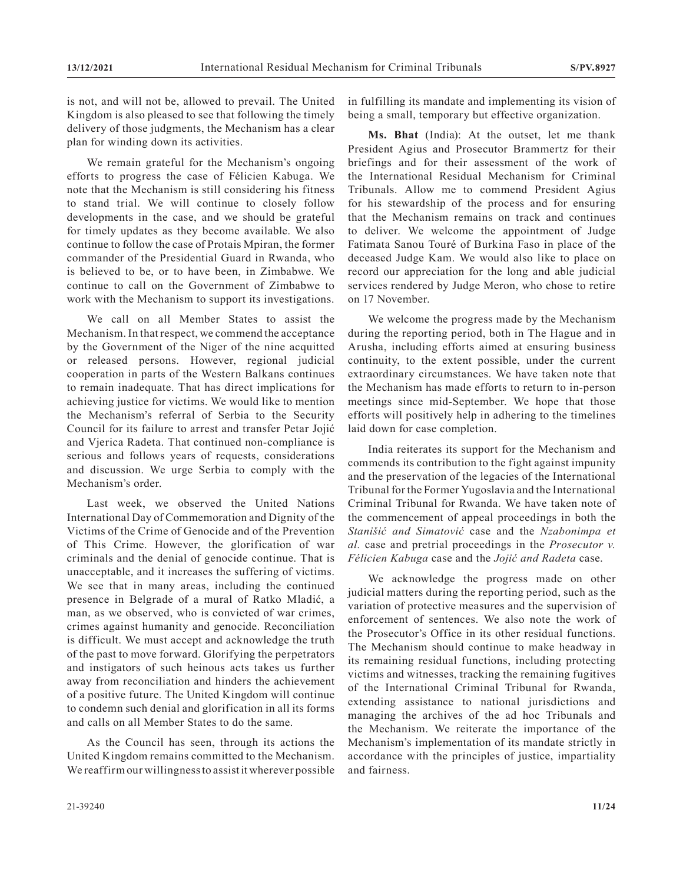is not, and will not be, allowed to prevail. The United Kingdom is also pleased to see that following the timely delivery of those judgments, the Mechanism has a clear plan for winding down its activities.

We remain grateful for the Mechanism's ongoing efforts to progress the case of Félicien Kabuga. We note that the Mechanism is still considering his fitness to stand trial. We will continue to closely follow developments in the case, and we should be grateful for timely updates as they become available. We also continue to follow the case of Protais Mpiran, the former commander of the Presidential Guard in Rwanda, who is believed to be, or to have been, in Zimbabwe. We continue to call on the Government of Zimbabwe to work with the Mechanism to support its investigations.

We call on all Member States to assist the Mechanism. In that respect, we commend the acceptance by the Government of the Niger of the nine acquitted or released persons. However, regional judicial cooperation in parts of the Western Balkans continues to remain inadequate. That has direct implications for achieving justice for victims. We would like to mention the Mechanism's referral of Serbia to the Security Council for its failure to arrest and transfer Petar Jojić and Vjerica Radeta. That continued non-compliance is serious and follows years of requests, considerations and discussion. We urge Serbia to comply with the Mechanism's order.

Last week, we observed the United Nations International Day of Commemoration and Dignity of the Victims of the Crime of Genocide and of the Prevention of This Crime. However, the glorification of war criminals and the denial of genocide continue. That is unacceptable, and it increases the suffering of victims. We see that in many areas, including the continued presence in Belgrade of a mural of Ratko Mladić, a man, as we observed, who is convicted of war crimes, crimes against humanity and genocide. Reconciliation is difficult. We must accept and acknowledge the truth of the past to move forward. Glorifying the perpetrators and instigators of such heinous acts takes us further away from reconciliation and hinders the achievement of a positive future. The United Kingdom will continue to condemn such denial and glorification in all its forms and calls on all Member States to do the same.

As the Council has seen, through its actions the United Kingdom remains committed to the Mechanism. We reaffirm our willingness to assist it wherever possible in fulfilling its mandate and implementing its vision of being a small, temporary but effective organization.

**Ms. Bhat** (India): At the outset, let me thank President Agius and Prosecutor Brammertz for their briefings and for their assessment of the work of the International Residual Mechanism for Criminal Tribunals. Allow me to commend President Agius for his stewardship of the process and for ensuring that the Mechanism remains on track and continues to deliver. We welcome the appointment of Judge Fatimata Sanou Touré of Burkina Faso in place of the deceased Judge Kam. We would also like to place on record our appreciation for the long and able judicial services rendered by Judge Meron, who chose to retire on 17 November.

We welcome the progress made by the Mechanism during the reporting period, both in The Hague and in Arusha, including efforts aimed at ensuring business continuity, to the extent possible, under the current extraordinary circumstances. We have taken note that the Mechanism has made efforts to return to in-person meetings since mid-September. We hope that those efforts will positively help in adhering to the timelines laid down for case completion.

India reiterates its support for the Mechanism and commends its contribution to the fight against impunity and the preservation of the legacies of the International Tribunal for the Former Yugoslavia and the International Criminal Tribunal for Rwanda. We have taken note of the commencement of appeal proceedings in both the *Stanišić and Simatović* case and the *Nzabonimpa et al.* case and pretrial proceedings in the *Prosecutor v. Félicien Kabuga* case and the *Jojić and Radeta* case.

We acknowledge the progress made on other judicial matters during the reporting period, such as the variation of protective measures and the supervision of enforcement of sentences. We also note the work of the Prosecutor's Office in its other residual functions. The Mechanism should continue to make headway in its remaining residual functions, including protecting victims and witnesses, tracking the remaining fugitives of the International Criminal Tribunal for Rwanda, extending assistance to national jurisdictions and managing the archives of the ad hoc Tribunals and the Mechanism. We reiterate the importance of the Mechanism's implementation of its mandate strictly in accordance with the principles of justice, impartiality and fairness.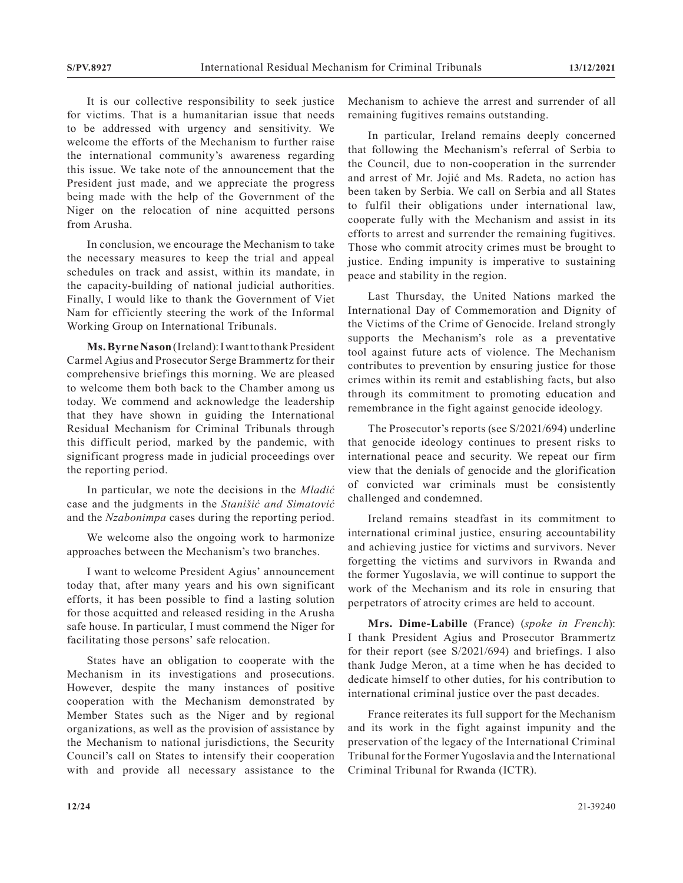It is our collective responsibility to seek justice for victims. That is a humanitarian issue that needs to be addressed with urgency and sensitivity. We welcome the efforts of the Mechanism to further raise the international community's awareness regarding this issue. We take note of the announcement that the President just made, and we appreciate the progress being made with the help of the Government of the Niger on the relocation of nine acquitted persons from Arusha.

In conclusion, we encourage the Mechanism to take the necessary measures to keep the trial and appeal schedules on track and assist, within its mandate, in the capacity-building of national judicial authorities. Finally, I would like to thank the Government of Viet Nam for efficiently steering the work of the Informal Working Group on International Tribunals.

**Ms. Byrne Nason** (Ireland): I want to thank President Carmel Agius and Prosecutor Serge Brammertz for their comprehensive briefings this morning. We are pleased to welcome them both back to the Chamber among us today. We commend and acknowledge the leadership that they have shown in guiding the International Residual Mechanism for Criminal Tribunals through this difficult period, marked by the pandemic, with significant progress made in judicial proceedings over the reporting period.

In particular, we note the decisions in the *Mladić* case and the judgments in the *Stanišić and Simatović* and the *Nzabonimpa* cases during the reporting period.

We welcome also the ongoing work to harmonize approaches between the Mechanism's two branches.

I want to welcome President Agius' announcement today that, after many years and his own significant efforts, it has been possible to find a lasting solution for those acquitted and released residing in the Arusha safe house. In particular, I must commend the Niger for facilitating those persons' safe relocation.

States have an obligation to cooperate with the Mechanism in its investigations and prosecutions. However, despite the many instances of positive cooperation with the Mechanism demonstrated by Member States such as the Niger and by regional organizations, as well as the provision of assistance by the Mechanism to national jurisdictions, the Security Council's call on States to intensify their cooperation with and provide all necessary assistance to the Mechanism to achieve the arrest and surrender of all remaining fugitives remains outstanding.

In particular, Ireland remains deeply concerned that following the Mechanism's referral of Serbia to the Council, due to non-cooperation in the surrender and arrest of Mr. Jojić and Ms. Radeta, no action has been taken by Serbia. We call on Serbia and all States to fulfil their obligations under international law, cooperate fully with the Mechanism and assist in its efforts to arrest and surrender the remaining fugitives. Those who commit atrocity crimes must be brought to justice. Ending impunity is imperative to sustaining peace and stability in the region.

Last Thursday, the United Nations marked the International Day of Commemoration and Dignity of the Victims of the Crime of Genocide. Ireland strongly supports the Mechanism's role as a preventative tool against future acts of violence. The Mechanism contributes to prevention by ensuring justice for those crimes within its remit and establishing facts, but also through its commitment to promoting education and remembrance in the fight against genocide ideology.

The Prosecutor's reports (see S/2021/694) underline that genocide ideology continues to present risks to international peace and security. We repeat our firm view that the denials of genocide and the glorification of convicted war criminals must be consistently challenged and condemned.

Ireland remains steadfast in its commitment to international criminal justice, ensuring accountability and achieving justice for victims and survivors. Never forgetting the victims and survivors in Rwanda and the former Yugoslavia, we will continue to support the work of the Mechanism and its role in ensuring that perpetrators of atrocity crimes are held to account.

**Mrs. Dime-Labille** (France) (*spoke in French*): I thank President Agius and Prosecutor Brammertz for their report (see S/2021/694) and briefings. I also thank Judge Meron, at a time when he has decided to dedicate himself to other duties, for his contribution to international criminal justice over the past decades.

France reiterates its full support for the Mechanism and its work in the fight against impunity and the preservation of the legacy of the International Criminal Tribunal for the Former Yugoslavia and the International Criminal Tribunal for Rwanda (ICTR).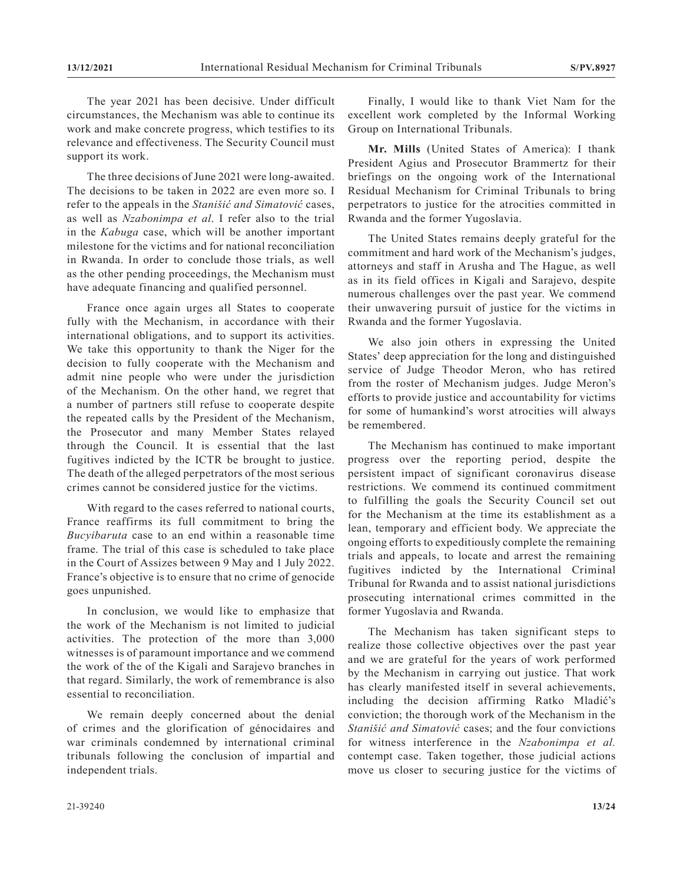The year 2021 has been decisive. Under difficult circumstances, the Mechanism was able to continue its work and make concrete progress, which testifies to its relevance and effectiveness. The Security Council must support its work.

The three decisions of June 2021 were long-awaited. The decisions to be taken in 2022 are even more so. I refer to the appeals in the *Stanišić and Simatović* cases, as well as *Nzabonimpa et al*. I refer also to the trial in the *Kabuga* case, which will be another important milestone for the victims and for national reconciliation in Rwanda. In order to conclude those trials, as well as the other pending proceedings, the Mechanism must have adequate financing and qualified personnel.

France once again urges all States to cooperate fully with the Mechanism, in accordance with their international obligations, and to support its activities. We take this opportunity to thank the Niger for the decision to fully cooperate with the Mechanism and admit nine people who were under the jurisdiction of the Mechanism. On the other hand, we regret that a number of partners still refuse to cooperate despite the repeated calls by the President of the Mechanism, the Prosecutor and many Member States relayed through the Council. It is essential that the last fugitives indicted by the ICTR be brought to justice. The death of the alleged perpetrators of the most serious crimes cannot be considered justice for the victims.

With regard to the cases referred to national courts, France reaffirms its full commitment to bring the *Bucyibaruta* case to an end within a reasonable time frame. The trial of this case is scheduled to take place in the Court of Assizes between 9 May and 1 July 2022. France's objective is to ensure that no crime of genocide goes unpunished.

In conclusion, we would like to emphasize that the work of the Mechanism is not limited to judicial activities. The protection of the more than 3,000 witnesses is of paramount importance and we commend the work of the of the Kigali and Sarajevo branches in that regard. Similarly, the work of remembrance is also essential to reconciliation.

We remain deeply concerned about the denial of crimes and the glorification of génocidaires and war criminals condemned by international criminal tribunals following the conclusion of impartial and independent trials.

Finally, I would like to thank Viet Nam for the excellent work completed by the Informal Working Group on International Tribunals.

**Mr. Mills** (United States of America): I thank President Agius and Prosecutor Brammertz for their briefings on the ongoing work of the International Residual Mechanism for Criminal Tribunals to bring perpetrators to justice for the atrocities committed in Rwanda and the former Yugoslavia.

The United States remains deeply grateful for the commitment and hard work of the Mechanism's judges, attorneys and staff in Arusha and The Hague, as well as in its field offices in Kigali and Sarajevo, despite numerous challenges over the past year. We commend their unwavering pursuit of justice for the victims in Rwanda and the former Yugoslavia.

We also join others in expressing the United States' deep appreciation for the long and distinguished service of Judge Theodor Meron, who has retired from the roster of Mechanism judges. Judge Meron's efforts to provide justice and accountability for victims for some of humankind's worst atrocities will always be remembered.

The Mechanism has continued to make important progress over the reporting period, despite the persistent impact of significant coronavirus disease restrictions. We commend its continued commitment to fulfilling the goals the Security Council set out for the Mechanism at the time its establishment as a lean, temporary and efficient body. We appreciate the ongoing efforts to expeditiously complete the remaining trials and appeals, to locate and arrest the remaining fugitives indicted by the International Criminal Tribunal for Rwanda and to assist national jurisdictions prosecuting international crimes committed in the former Yugoslavia and Rwanda.

The Mechanism has taken significant steps to realize those collective objectives over the past year and we are grateful for the years of work performed by the Mechanism in carrying out justice. That work has clearly manifested itself in several achievements, including the decision affirming Ratko Mladić's conviction; the thorough work of the Mechanism in the *Stanišić and Simatović* cases; and the four convictions for witness interference in the *Nzabonimpa et al.* contempt case. Taken together, those judicial actions move us closer to securing justice for the victims of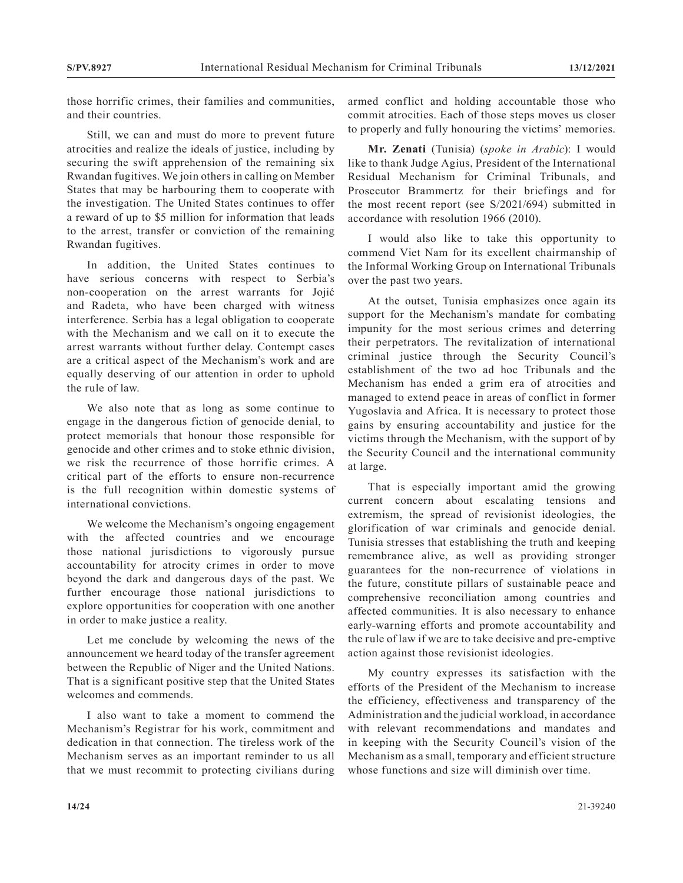those horrific crimes, their families and communities, and their countries.

Still, we can and must do more to prevent future atrocities and realize the ideals of justice, including by securing the swift apprehension of the remaining six Rwandan fugitives. We join others in calling on Member States that may be harbouring them to cooperate with the investigation. The United States continues to offer a reward of up to \$5 million for information that leads to the arrest, transfer or conviction of the remaining Rwandan fugitives.

In addition, the United States continues to have serious concerns with respect to Serbia's non-cooperation on the arrest warrants for Jojić and Radeta, who have been charged with witness interference. Serbia has a legal obligation to cooperate with the Mechanism and we call on it to execute the arrest warrants without further delay. Contempt cases are a critical aspect of the Mechanism's work and are equally deserving of our attention in order to uphold the rule of law.

We also note that as long as some continue to engage in the dangerous fiction of genocide denial, to protect memorials that honour those responsible for genocide and other crimes and to stoke ethnic division, we risk the recurrence of those horrific crimes. A critical part of the efforts to ensure non-recurrence is the full recognition within domestic systems of international convictions.

We welcome the Mechanism's ongoing engagement with the affected countries and we encourage those national jurisdictions to vigorously pursue accountability for atrocity crimes in order to move beyond the dark and dangerous days of the past. We further encourage those national jurisdictions to explore opportunities for cooperation with one another in order to make justice a reality.

Let me conclude by welcoming the news of the announcement we heard today of the transfer agreement between the Republic of Niger and the United Nations. That is a significant positive step that the United States welcomes and commends.

I also want to take a moment to commend the Mechanism's Registrar for his work, commitment and dedication in that connection. The tireless work of the Mechanism serves as an important reminder to us all that we must recommit to protecting civilians during armed conflict and holding accountable those who commit atrocities. Each of those steps moves us closer to properly and fully honouring the victims' memories.

**Mr. Zenati** (Tunisia) (*spoke in Arabic*): I would like to thank Judge Agius, President of the International Residual Mechanism for Criminal Tribunals, and Prosecutor Brammertz for their briefings and for the most recent report (see S/2021/694) submitted in accordance with resolution 1966 (2010).

I would also like to take this opportunity to commend Viet Nam for its excellent chairmanship of the Informal Working Group on International Tribunals over the past two years.

At the outset, Tunisia emphasizes once again its support for the Mechanism's mandate for combating impunity for the most serious crimes and deterring their perpetrators. The revitalization of international criminal justice through the Security Council's establishment of the two ad hoc Tribunals and the Mechanism has ended a grim era of atrocities and managed to extend peace in areas of conflict in former Yugoslavia and Africa. It is necessary to protect those gains by ensuring accountability and justice for the victims through the Mechanism, with the support of by the Security Council and the international community at large.

That is especially important amid the growing current concern about escalating tensions and extremism, the spread of revisionist ideologies, the glorification of war criminals and genocide denial. Tunisia stresses that establishing the truth and keeping remembrance alive, as well as providing stronger guarantees for the non-recurrence of violations in the future, constitute pillars of sustainable peace and comprehensive reconciliation among countries and affected communities. It is also necessary to enhance early-warning efforts and promote accountability and the rule of law if we are to take decisive and pre-emptive action against those revisionist ideologies.

My country expresses its satisfaction with the efforts of the President of the Mechanism to increase the efficiency, effectiveness and transparency of the Administration and the judicial workload, in accordance with relevant recommendations and mandates and in keeping with the Security Council's vision of the Mechanism as a small, temporary and efficient structure whose functions and size will diminish over time.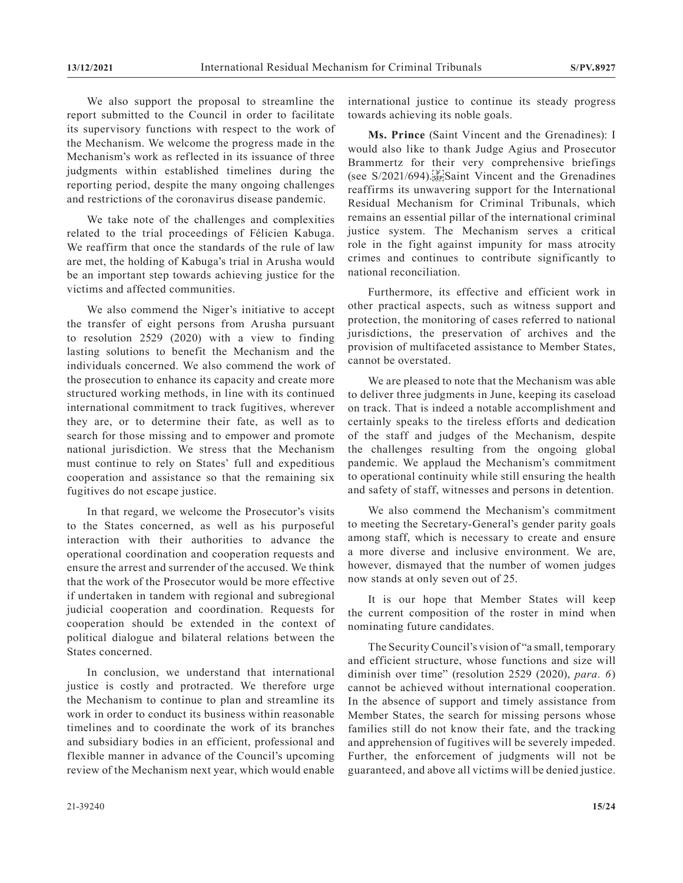We also support the proposal to streamline the report submitted to the Council in order to facilitate its supervisory functions with respect to the work of the Mechanism. We welcome the progress made in the Mechanism's work as reflected in its issuance of three judgments within established timelines during the reporting period, despite the many ongoing challenges and restrictions of the coronavirus disease pandemic.

We take note of the challenges and complexities related to the trial proceedings of Félicien Kabuga. We reaffirm that once the standards of the rule of law are met, the holding of Kabuga's trial in Arusha would be an important step towards achieving justice for the victims and affected communities.

We also commend the Niger's initiative to accept the transfer of eight persons from Arusha pursuant to resolution 2529 (2020) with a view to finding lasting solutions to benefit the Mechanism and the individuals concerned. We also commend the work of the prosecution to enhance its capacity and create more structured working methods, in line with its continued international commitment to track fugitives, wherever they are, or to determine their fate, as well as to search for those missing and to empower and promote national jurisdiction. We stress that the Mechanism must continue to rely on States' full and expeditious cooperation and assistance so that the remaining six fugitives do not escape justice.

In that regard, we welcome the Prosecutor's visits to the States concerned, as well as his purposeful interaction with their authorities to advance the operational coordination and cooperation requests and ensure the arrest and surrender of the accused. We think that the work of the Prosecutor would be more effective if undertaken in tandem with regional and subregional judicial cooperation and coordination. Requests for cooperation should be extended in the context of political dialogue and bilateral relations between the States concerned.

In conclusion, we understand that international justice is costly and protracted. We therefore urge the Mechanism to continue to plan and streamline its work in order to conduct its business within reasonable timelines and to coordinate the work of its branches and subsidiary bodies in an efficient, professional and flexible manner in advance of the Council's upcoming review of the Mechanism next year, which would enable

international justice to continue its steady progress towards achieving its noble goals.

**Ms. Prince** (Saint Vincent and the Grenadines): I would also like to thank Judge Agius and Prosecutor Brammertz for their very comprehensive briefings (see  $S/2021/694$ ). SEP Saint Vincent and the Grenadines reaffirms its unwavering support for the International Residual Mechanism for Criminal Tribunals, which remains an essential pillar of the international criminal justice system. The Mechanism serves a critical role in the fight against impunity for mass atrocity crimes and continues to contribute significantly to national reconciliation.

Furthermore, its effective and efficient work in other practical aspects, such as witness support and protection, the monitoring of cases referred to national jurisdictions, the preservation of archives and the provision of multifaceted assistance to Member States, cannot be overstated.

We are pleased to note that the Mechanism was able to deliver three judgments in June, keeping its caseload on track. That is indeed a notable accomplishment and certainly speaks to the tireless efforts and dedication of the staff and judges of the Mechanism, despite the challenges resulting from the ongoing global pandemic. We applaud the Mechanism's commitment to operational continuity while still ensuring the health and safety of staff, witnesses and persons in detention.

We also commend the Mechanism's commitment to meeting the Secretary-General's gender parity goals among staff, which is necessary to create and ensure a more diverse and inclusive environment. We are, however, dismayed that the number of women judges now stands at only seven out of 25.

It is our hope that Member States will keep the current composition of the roster in mind when nominating future candidates.

The Security Council's vision of "a small, temporary and efficient structure, whose functions and size will diminish over time" (resolution 2529 (2020), *para. 6*) cannot be achieved without international cooperation. In the absence of support and timely assistance from Member States, the search for missing persons whose families still do not know their fate, and the tracking and apprehension of fugitives will be severely impeded. Further, the enforcement of judgments will not be guaranteed, and above all victims will be denied justice.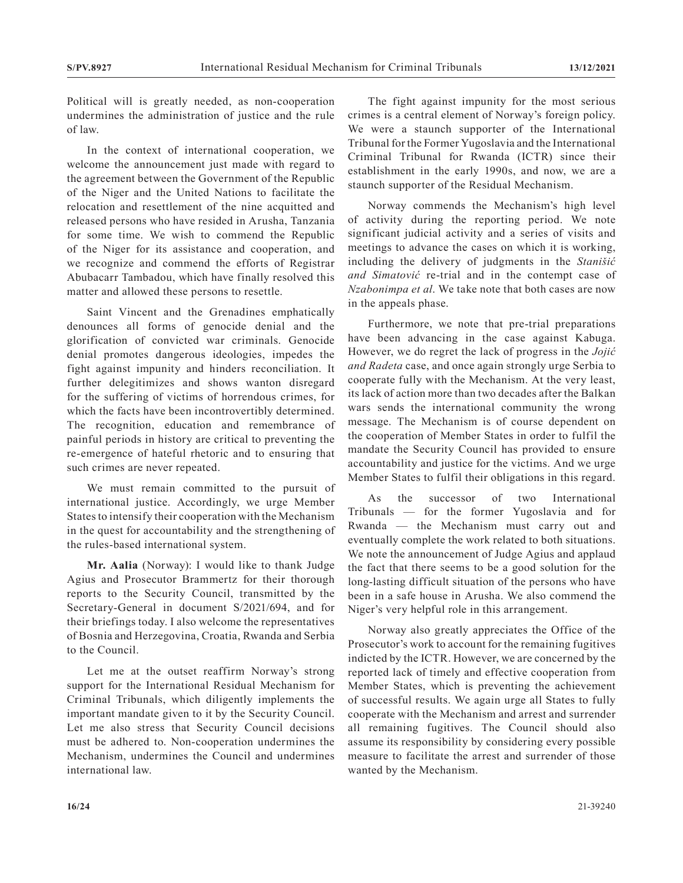Political will is greatly needed, as non-cooperation undermines the administration of justice and the rule of law.

In the context of international cooperation, we welcome the announcement just made with regard to the agreement between the Government of the Republic of the Niger and the United Nations to facilitate the relocation and resettlement of the nine acquitted and released persons who have resided in Arusha, Tanzania for some time. We wish to commend the Republic of the Niger for its assistance and cooperation, and we recognize and commend the efforts of Registrar Abubacarr Tambadou, which have finally resolved this matter and allowed these persons to resettle.

Saint Vincent and the Grenadines emphatically denounces all forms of genocide denial and the glorification of convicted war criminals. Genocide denial promotes dangerous ideologies, impedes the fight against impunity and hinders reconciliation. It further delegitimizes and shows wanton disregard for the suffering of victims of horrendous crimes, for which the facts have been incontrovertibly determined. The recognition, education and remembrance of painful periods in history are critical to preventing the re-emergence of hateful rhetoric and to ensuring that such crimes are never repeated.

We must remain committed to the pursuit of international justice. Accordingly, we urge Member States to intensify their cooperation with the Mechanism in the quest for accountability and the strengthening of the rules-based international system.

**Mr. Aalia** (Norway): I would like to thank Judge Agius and Prosecutor Brammertz for their thorough reports to the Security Council, transmitted by the Secretary-General in document S/2021/694, and for their briefings today. I also welcome the representatives of Bosnia and Herzegovina, Croatia, Rwanda and Serbia to the Council.

Let me at the outset reaffirm Norway's strong support for the International Residual Mechanism for Criminal Tribunals, which diligently implements the important mandate given to it by the Security Council. Let me also stress that Security Council decisions must be adhered to. Non-cooperation undermines the Mechanism, undermines the Council and undermines international law.

The fight against impunity for the most serious crimes is a central element of Norway's foreign policy. We were a staunch supporter of the International Tribunal for the Former Yugoslavia and the International Criminal Tribunal for Rwanda (ICTR) since their establishment in the early 1990s, and now, we are a staunch supporter of the Residual Mechanism.

Norway commends the Mechanism's high level of activity during the reporting period. We note significant judicial activity and a series of visits and meetings to advance the cases on which it is working, including the delivery of judgments in the *Stanišić and Simatović* re-trial and in the contempt case of *Nzabonimpa et al*. We take note that both cases are now in the appeals phase.

Furthermore, we note that pre-trial preparations have been advancing in the case against Kabuga. However, we do regret the lack of progress in the *Jojić and Radeta* case, and once again strongly urge Serbia to cooperate fully with the Mechanism. At the very least, its lack of action more than two decades after the Balkan wars sends the international community the wrong message. The Mechanism is of course dependent on the cooperation of Member States in order to fulfil the mandate the Security Council has provided to ensure accountability and justice for the victims. And we urge Member States to fulfil their obligations in this regard.

As the successor of two International Tribunals — for the former Yugoslavia and for Rwanda — the Mechanism must carry out and eventually complete the work related to both situations. We note the announcement of Judge Agius and applaud the fact that there seems to be a good solution for the long-lasting difficult situation of the persons who have been in a safe house in Arusha. We also commend the Niger's very helpful role in this arrangement.

Norway also greatly appreciates the Office of the Prosecutor's work to account for the remaining fugitives indicted by the ICTR. However, we are concerned by the reported lack of timely and effective cooperation from Member States, which is preventing the achievement of successful results. We again urge all States to fully cooperate with the Mechanism and arrest and surrender all remaining fugitives. The Council should also assume its responsibility by considering every possible measure to facilitate the arrest and surrender of those wanted by the Mechanism.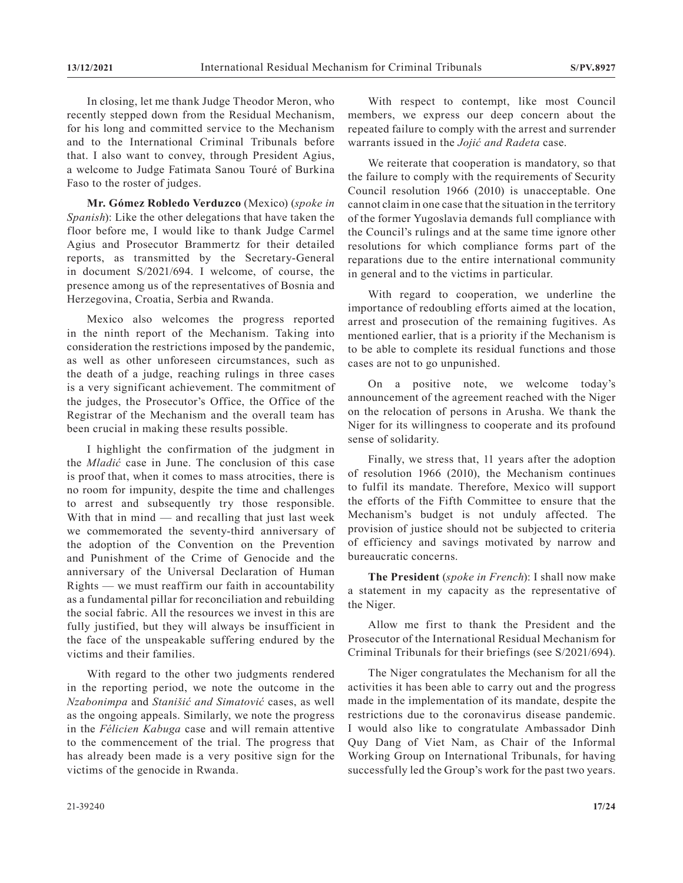In closing, let me thank Judge Theodor Meron, who recently stepped down from the Residual Mechanism, for his long and committed service to the Mechanism and to the International Criminal Tribunals before that. I also want to convey, through President Agius, a welcome to Judge Fatimata Sanou Touré of Burkina Faso to the roster of judges.

**Mr. Gómez Robledo Verduzco** (Mexico) (*spoke in Spanish*): Like the other delegations that have taken the floor before me, I would like to thank Judge Carmel Agius and Prosecutor Brammertz for their detailed reports, as transmitted by the Secretary-General in document S/2021/694. I welcome, of course, the presence among us of the representatives of Bosnia and Herzegovina, Croatia, Serbia and Rwanda.

Mexico also welcomes the progress reported in the ninth report of the Mechanism. Taking into consideration the restrictions imposed by the pandemic, as well as other unforeseen circumstances, such as the death of a judge, reaching rulings in three cases is a very significant achievement. The commitment of the judges, the Prosecutor's Office, the Office of the Registrar of the Mechanism and the overall team has been crucial in making these results possible.

I highlight the confirmation of the judgment in the *Mladić* case in June. The conclusion of this case is proof that, when it comes to mass atrocities, there is no room for impunity, despite the time and challenges to arrest and subsequently try those responsible. With that in mind — and recalling that just last week we commemorated the seventy-third anniversary of the adoption of the Convention on the Prevention and Punishment of the Crime of Genocide and the anniversary of the Universal Declaration of Human Rights — we must reaffirm our faith in accountability as a fundamental pillar for reconciliation and rebuilding the social fabric. All the resources we invest in this are fully justified, but they will always be insufficient in the face of the unspeakable suffering endured by the victims and their families.

With regard to the other two judgments rendered in the reporting period, we note the outcome in the *Nzabonimpa* and *Stanišić and Simatović* cases, as well as the ongoing appeals. Similarly, we note the progress in the *Félicien Kabuga* case and will remain attentive to the commencement of the trial. The progress that has already been made is a very positive sign for the victims of the genocide in Rwanda.

With respect to contempt, like most Council members, we express our deep concern about the repeated failure to comply with the arrest and surrender warrants issued in the *Jojić and Radeta* case.

We reiterate that cooperation is mandatory, so that the failure to comply with the requirements of Security Council resolution 1966 (2010) is unacceptable. One cannot claim in one case that the situation in the territory of the former Yugoslavia demands full compliance with the Council's rulings and at the same time ignore other resolutions for which compliance forms part of the reparations due to the entire international community in general and to the victims in particular.

With regard to cooperation, we underline the importance of redoubling efforts aimed at the location, arrest and prosecution of the remaining fugitives. As mentioned earlier, that is a priority if the Mechanism is to be able to complete its residual functions and those cases are not to go unpunished.

On a positive note, we welcome today's announcement of the agreement reached with the Niger on the relocation of persons in Arusha. We thank the Niger for its willingness to cooperate and its profound sense of solidarity.

Finally, we stress that, 11 years after the adoption of resolution 1966 (2010), the Mechanism continues to fulfil its mandate. Therefore, Mexico will support the efforts of the Fifth Committee to ensure that the Mechanism's budget is not unduly affected. The provision of justice should not be subjected to criteria of efficiency and savings motivated by narrow and bureaucratic concerns.

**The President** (*spoke in French*): I shall now make a statement in my capacity as the representative of the Niger.

Allow me first to thank the President and the Prosecutor of the International Residual Mechanism for Criminal Tribunals for their briefings (see S/2021/694).

The Niger congratulates the Mechanism for all the activities it has been able to carry out and the progress made in the implementation of its mandate, despite the restrictions due to the coronavirus disease pandemic. I would also like to congratulate Ambassador Dinh Quy Dang of Viet Nam, as Chair of the Informal Working Group on International Tribunals, for having successfully led the Group's work for the past two years.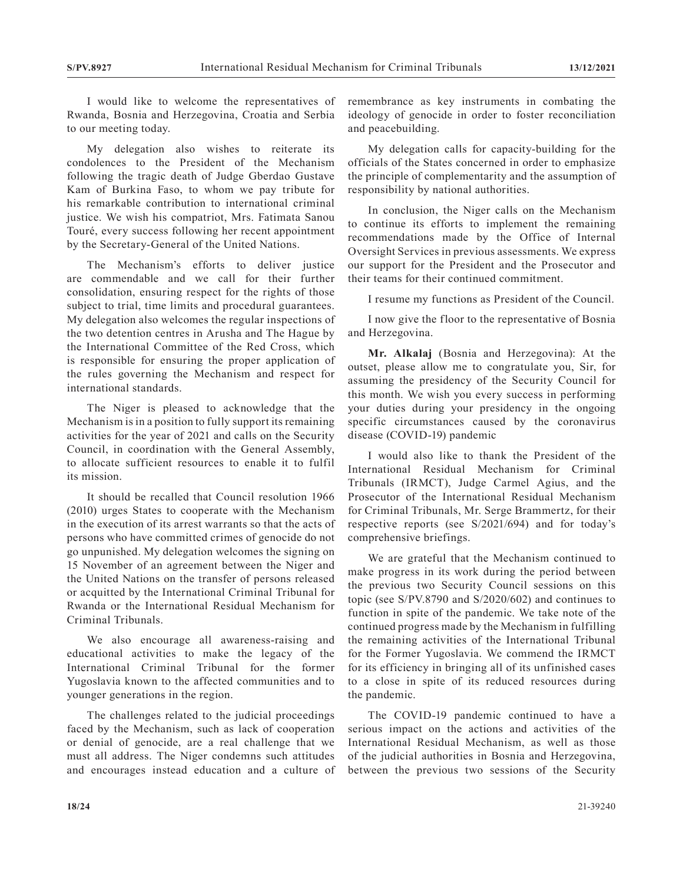I would like to welcome the representatives of Rwanda, Bosnia and Herzegovina, Croatia and Serbia to our meeting today.

My delegation also wishes to reiterate its condolences to the President of the Mechanism following the tragic death of Judge Gberdao Gustave Kam of Burkina Faso, to whom we pay tribute for his remarkable contribution to international criminal justice. We wish his compatriot, Mrs. Fatimata Sanou Touré, every success following her recent appointment by the Secretary-General of the United Nations.

The Mechanism's efforts to deliver justice are commendable and we call for their further consolidation, ensuring respect for the rights of those subject to trial, time limits and procedural guarantees. My delegation also welcomes the regular inspections of the two detention centres in Arusha and The Hague by the International Committee of the Red Cross, which is responsible for ensuring the proper application of the rules governing the Mechanism and respect for international standards.

The Niger is pleased to acknowledge that the Mechanism is in a position to fully support its remaining activities for the year of 2021 and calls on the Security Council, in coordination with the General Assembly, to allocate sufficient resources to enable it to fulfil its mission.

It should be recalled that Council resolution 1966 (2010) urges States to cooperate with the Mechanism in the execution of its arrest warrants so that the acts of persons who have committed crimes of genocide do not go unpunished. My delegation welcomes the signing on 15 November of an agreement between the Niger and the United Nations on the transfer of persons released or acquitted by the International Criminal Tribunal for Rwanda or the International Residual Mechanism for Criminal Tribunals.

We also encourage all awareness-raising and educational activities to make the legacy of the International Criminal Tribunal for the former Yugoslavia known to the affected communities and to younger generations in the region.

The challenges related to the judicial proceedings faced by the Mechanism, such as lack of cooperation or denial of genocide, are a real challenge that we must all address. The Niger condemns such attitudes and encourages instead education and a culture of remembrance as key instruments in combating the ideology of genocide in order to foster reconciliation and peacebuilding.

My delegation calls for capacity-building for the officials of the States concerned in order to emphasize the principle of complementarity and the assumption of responsibility by national authorities.

In conclusion, the Niger calls on the Mechanism to continue its efforts to implement the remaining recommendations made by the Office of Internal Oversight Services in previous assessments. We express our support for the President and the Prosecutor and their teams for their continued commitment.

I resume my functions as President of the Council.

I now give the floor to the representative of Bosnia and Herzegovina.

**Mr. Alkalaj** (Bosnia and Herzegovina): At the outset, please allow me to congratulate you, Sir, for assuming the presidency of the Security Council for this month. We wish you every success in performing your duties during your presidency in the ongoing specific circumstances caused by the coronavirus disease (COVID-19) pandemic

I would also like to thank the President of the International Residual Mechanism for Criminal Tribunals (IRMCT), Judge Carmel Agius, and the Prosecutor of the International Residual Mechanism for Criminal Tribunals, Mr. Serge Brammertz, for their respective reports (see S/2021/694) and for today's comprehensive briefings.

We are grateful that the Mechanism continued to make progress in its work during the period between the previous two Security Council sessions on this topic (see S/PV.8790 and S/2020/602) and continues to function in spite of the pandemic. We take note of the continued progress made by the Mechanism in fulfilling the remaining activities of the International Tribunal for the Former Yugoslavia. We commend the IRMCT for its efficiency in bringing all of its unfinished cases to a close in spite of its reduced resources during the pandemic.

The COVID-19 pandemic continued to have a serious impact on the actions and activities of the International Residual Mechanism, as well as those of the judicial authorities in Bosnia and Herzegovina, between the previous two sessions of the Security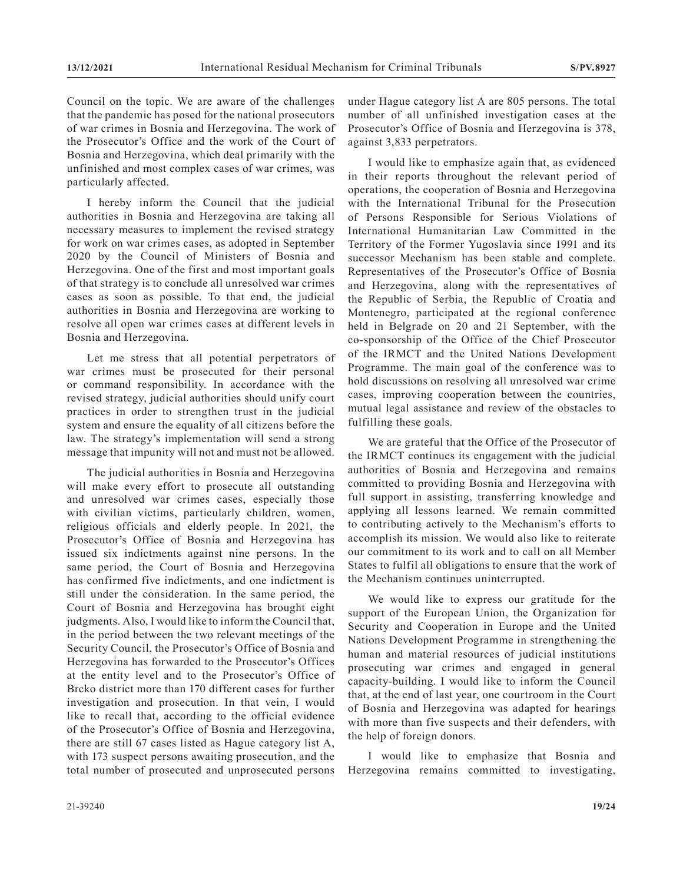Council on the topic. We are aware of the challenges that the pandemic has posed for the national prosecutors of war crimes in Bosnia and Herzegovina. The work of the Prosecutor's Office and the work of the Court of Bosnia and Herzegovina, which deal primarily with the unfinished and most complex cases of war crimes, was particularly affected.

I hereby inform the Council that the judicial authorities in Bosnia and Herzegovina are taking all necessary measures to implement the revised strategy for work on war crimes cases, as adopted in September 2020 by the Council of Ministers of Bosnia and Herzegovina. One of the first and most important goals of that strategy is to conclude all unresolved war crimes cases as soon as possible. To that end, the judicial authorities in Bosnia and Herzegovina are working to resolve all open war crimes cases at different levels in Bosnia and Herzegovina.

Let me stress that all potential perpetrators of war crimes must be prosecuted for their personal or command responsibility. In accordance with the revised strategy, judicial authorities should unify court practices in order to strengthen trust in the judicial system and ensure the equality of all citizens before the law. The strategy's implementation will send a strong message that impunity will not and must not be allowed.

The judicial authorities in Bosnia and Herzegovina will make every effort to prosecute all outstanding and unresolved war crimes cases, especially those with civilian victims, particularly children, women, religious officials and elderly people. In 2021, the Prosecutor's Office of Bosnia and Herzegovina has issued six indictments against nine persons. In the same period, the Court of Bosnia and Herzegovina has confirmed five indictments, and one indictment is still under the consideration. In the same period, the Court of Bosnia and Herzegovina has brought eight judgments. Also, I would like to inform the Council that, in the period between the two relevant meetings of the Security Council, the Prosecutor's Office of Bosnia and Herzegovina has forwarded to the Prosecutor's Offices at the entity level and to the Prosecutor's Office of Brcko district more than 170 different cases for further investigation and prosecution. In that vein, I would like to recall that, according to the official evidence of the Prosecutor's Office of Bosnia and Herzegovina, there are still 67 cases listed as Hague category list A, with 173 suspect persons awaiting prosecution, and the total number of prosecuted and unprosecuted persons

under Hague category list A are 805 persons. The total number of all unfinished investigation cases at the Prosecutor's Office of Bosnia and Herzegovina is 378, against 3,833 perpetrators.

I would like to emphasize again that, as evidenced in their reports throughout the relevant period of operations, the cooperation of Bosnia and Herzegovina with the International Tribunal for the Prosecution of Persons Responsible for Serious Violations of International Humanitarian Law Committed in the Territory of the Former Yugoslavia since 1991 and its successor Mechanism has been stable and complete. Representatives of the Prosecutor's Office of Bosnia and Herzegovina, along with the representatives of the Republic of Serbia, the Republic of Croatia and Montenegro, participated at the regional conference held in Belgrade on 20 and 21 September, with the co-sponsorship of the Office of the Chief Prosecutor of the IRMCT and the United Nations Development Programme. The main goal of the conference was to hold discussions on resolving all unresolved war crime cases, improving cooperation between the countries, mutual legal assistance and review of the obstacles to fulfilling these goals.

We are grateful that the Office of the Prosecutor of the IRMCT continues its engagement with the judicial authorities of Bosnia and Herzegovina and remains committed to providing Bosnia and Herzegovina with full support in assisting, transferring knowledge and applying all lessons learned. We remain committed to contributing actively to the Mechanism's efforts to accomplish its mission. We would also like to reiterate our commitment to its work and to call on all Member States to fulfil all obligations to ensure that the work of the Mechanism continues uninterrupted.

We would like to express our gratitude for the support of the European Union, the Organization for Security and Cooperation in Europe and the United Nations Development Programme in strengthening the human and material resources of judicial institutions prosecuting war crimes and engaged in general capacity-building. I would like to inform the Council that, at the end of last year, one courtroom in the Court of Bosnia and Herzegovina was adapted for hearings with more than five suspects and their defenders, with the help of foreign donors.

I would like to emphasize that Bosnia and Herzegovina remains committed to investigating,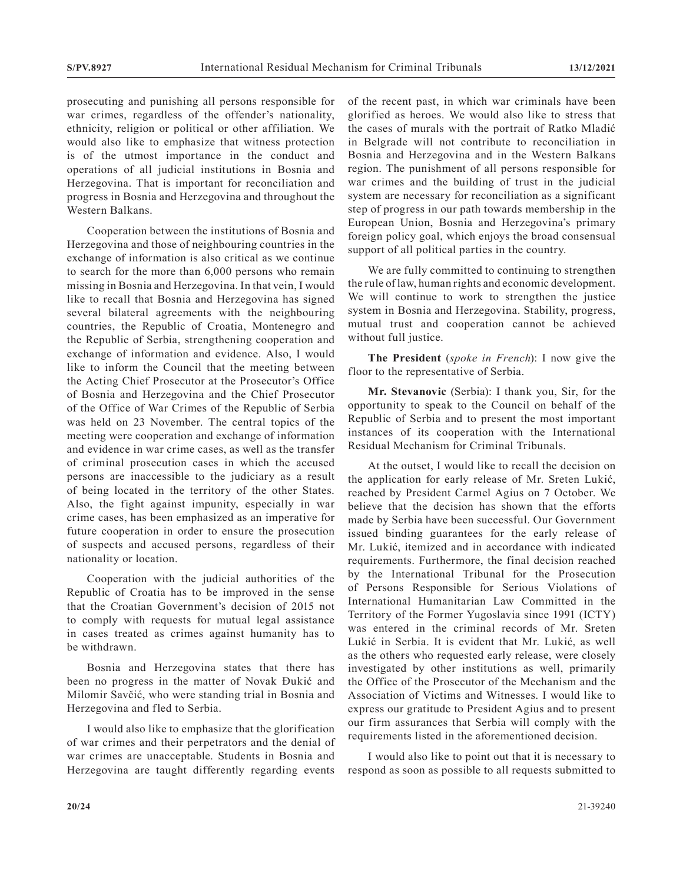prosecuting and punishing all persons responsible for war crimes, regardless of the offender's nationality, ethnicity, religion or political or other affiliation. We would also like to emphasize that witness protection is of the utmost importance in the conduct and operations of all judicial institutions in Bosnia and Herzegovina. That is important for reconciliation and progress in Bosnia and Herzegovina and throughout the Western Balkans.

Cooperation between the institutions of Bosnia and Herzegovina and those of neighbouring countries in the exchange of information is also critical as we continue to search for the more than 6,000 persons who remain missing in Bosnia and Herzegovina. In that vein, I would like to recall that Bosnia and Herzegovina has signed several bilateral agreements with the neighbouring countries, the Republic of Croatia, Montenegro and the Republic of Serbia, strengthening cooperation and exchange of information and evidence. Also, I would like to inform the Council that the meeting between the Acting Chief Prosecutor at the Prosecutor's Office of Bosnia and Herzegovina and the Chief Prosecutor of the Office of War Crimes of the Republic of Serbia was held on 23 November. The central topics of the meeting were cooperation and exchange of information and evidence in war crime cases, as well as the transfer of criminal prosecution cases in which the accused persons are inaccessible to the judiciary as a result of being located in the territory of the other States. Also, the fight against impunity, especially in war crime cases, has been emphasized as an imperative for future cooperation in order to ensure the prosecution of suspects and accused persons, regardless of their nationality or location.

Cooperation with the judicial authorities of the Republic of Croatia has to be improved in the sense that the Croatian Government's decision of 2015 not to comply with requests for mutual legal assistance in cases treated as crimes against humanity has to be withdrawn.

Bosnia and Herzegovina states that there has been no progress in the matter of Novak Đukić and Milomir Savčić, who were standing trial in Bosnia and Herzegovina and fled to Serbia.

I would also like to emphasize that the glorification of war crimes and their perpetrators and the denial of war crimes are unacceptable. Students in Bosnia and Herzegovina are taught differently regarding events

of the recent past, in which war criminals have been glorified as heroes. We would also like to stress that the cases of murals with the portrait of Ratko Mladić in Belgrade will not contribute to reconciliation in Bosnia and Herzegovina and in the Western Balkans region. The punishment of all persons responsible for war crimes and the building of trust in the judicial system are necessary for reconciliation as a significant step of progress in our path towards membership in the European Union, Bosnia and Herzegovina's primary foreign policy goal, which enjoys the broad consensual support of all political parties in the country.

We are fully committed to continuing to strengthen the rule of law, human rights and economic development. We will continue to work to strengthen the justice system in Bosnia and Herzegovina. Stability, progress, mutual trust and cooperation cannot be achieved without full justice.

**The President** (*spoke in French*): I now give the floor to the representative of Serbia.

**Mr. Stevanovic** (Serbia): I thank you, Sir, for the opportunity to speak to the Council on behalf of the Republic of Serbia and to present the most important instances of its cooperation with the International Residual Mechanism for Criminal Tribunals.

At the outset, I would like to recall the decision on the application for early release of Mr. Sreten Lukić, reached by President Carmel Agius on 7 October. We believe that the decision has shown that the efforts made by Serbia have been successful. Our Government issued binding guarantees for the early release of Mr. Lukić, itemized and in accordance with indicated requirements. Furthermore, the final decision reached by the International Tribunal for the Prosecution of Persons Responsible for Serious Violations of International Humanitarian Law Committed in the Territory of the Former Yugoslavia since 1991 (ICTY) was entered in the criminal records of Mr. Sreten Lukić in Serbia. It is evident that Mr. Lukić, as well as the others who requested early release, were closely investigated by other institutions as well, primarily the Office of the Prosecutor of the Mechanism and the Association of Victims and Witnesses. I would like to express our gratitude to President Agius and to present our firm assurances that Serbia will comply with the requirements listed in the aforementioned decision.

I would also like to point out that it is necessary to respond as soon as possible to all requests submitted to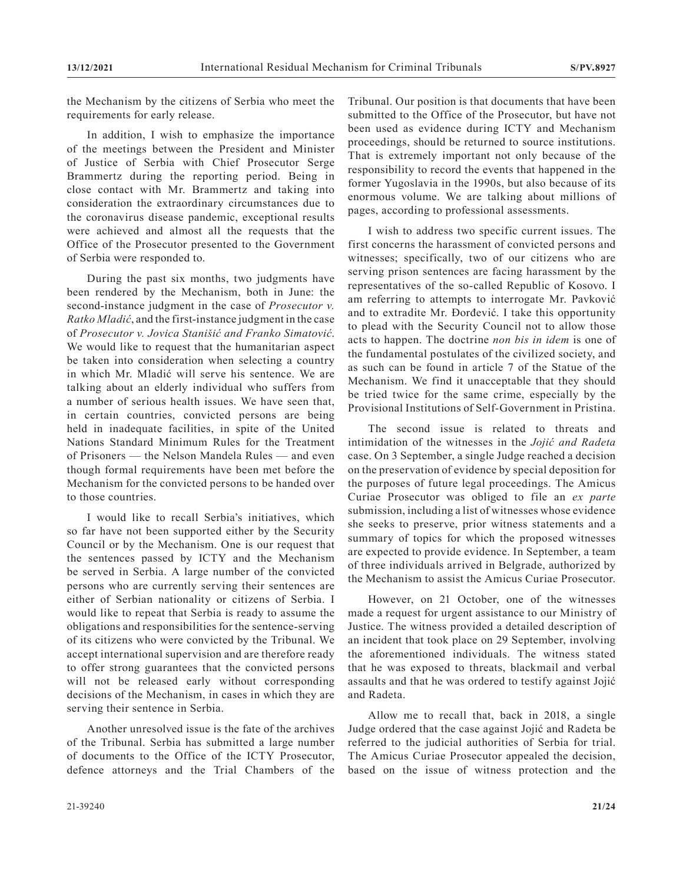the Mechanism by the citizens of Serbia who meet the requirements for early release.

In addition, I wish to emphasize the importance of the meetings between the President and Minister of Justice of Serbia with Chief Prosecutor Serge Brammertz during the reporting period. Being in close contact with Mr. Brammertz and taking into consideration the extraordinary circumstances due to the coronavirus disease pandemic, exceptional results were achieved and almost all the requests that the Office of the Prosecutor presented to the Government of Serbia were responded to.

During the past six months, two judgments have been rendered by the Mechanism, both in June: the second-instance judgment in the case of *Prosecutor v. Ratko Mladić*, and the first-instance judgment in the case of *Prosecutor v. Jovica Stanišić and Franko Simatović*. We would like to request that the humanitarian aspect be taken into consideration when selecting a country in which Mr. Mladić will serve his sentence. We are talking about an elderly individual who suffers from a number of serious health issues. We have seen that, in certain countries, convicted persons are being held in inadequate facilities, in spite of the United Nations Standard Minimum Rules for the Treatment of Prisoners — the Nelson Mandela Rules — and even though formal requirements have been met before the Mechanism for the convicted persons to be handed over to those countries.

I would like to recall Serbia's initiatives, which so far have not been supported either by the Security Council or by the Mechanism. One is our request that the sentences passed by ICTY and the Mechanism be served in Serbia. A large number of the convicted persons who are currently serving their sentences are either of Serbian nationality or citizens of Serbia. I would like to repeat that Serbia is ready to assume the obligations and responsibilities for the sentence-serving of its citizens who were convicted by the Tribunal. We accept international supervision and are therefore ready to offer strong guarantees that the convicted persons will not be released early without corresponding decisions of the Mechanism, in cases in which they are serving their sentence in Serbia.

Another unresolved issue is the fate of the archives of the Tribunal. Serbia has submitted a large number of documents to the Office of the ICTY Prosecutor, defence attorneys and the Trial Chambers of the

Tribunal. Our position is that documents that have been submitted to the Office of the Prosecutor, but have not been used as evidence during ICTY and Mechanism proceedings, should be returned to source institutions. That is extremely important not only because of the responsibility to record the events that happened in the former Yugoslavia in the 1990s, but also because of its enormous volume. We are talking about millions of pages, according to professional assessments.

I wish to address two specific current issues. The first concerns the harassment of convicted persons and witnesses; specifically, two of our citizens who are serving prison sentences are facing harassment by the representatives of the so-called Republic of Kosovo. I am referring to attempts to interrogate Mr. Pavković and to extradite Mr. Đorđević. I take this opportunity to plead with the Security Council not to allow those acts to happen. The doctrine *non bis in idem* is one of the fundamental postulates of the civilized society, and as such can be found in article 7 of the Statue of the Mechanism. We find it unacceptable that they should be tried twice for the same crime, especially by the Provisional Institutions of Self-Government in Pristina.

The second issue is related to threats and intimidation of the witnesses in the *Jojić and Radeta* case. On 3 September, a single Judge reached a decision on the preservation of evidence by special deposition for the purposes of future legal proceedings. The Amicus Curiae Prosecutor was obliged to file an *ex parte* submission, including a list of witnesses whose evidence she seeks to preserve, prior witness statements and a summary of topics for which the proposed witnesses are expected to provide evidence. In September, a team of three individuals arrived in Belgrade, authorized by the Mechanism to assist the Amicus Curiae Prosecutor.

However, on 21 October, one of the witnesses made a request for urgent assistance to our Ministry of Justice. The witness provided a detailed description of an incident that took place on 29 September, involving the aforementioned individuals. The witness stated that he was exposed to threats, blackmail and verbal assaults and that he was ordered to testify against Jojić and Radeta.

Allow me to recall that, back in 2018, a single Judge ordered that the case against Jojić and Radeta be referred to the judicial authorities of Serbia for trial. The Amicus Curiae Prosecutor appealed the decision, based on the issue of witness protection and the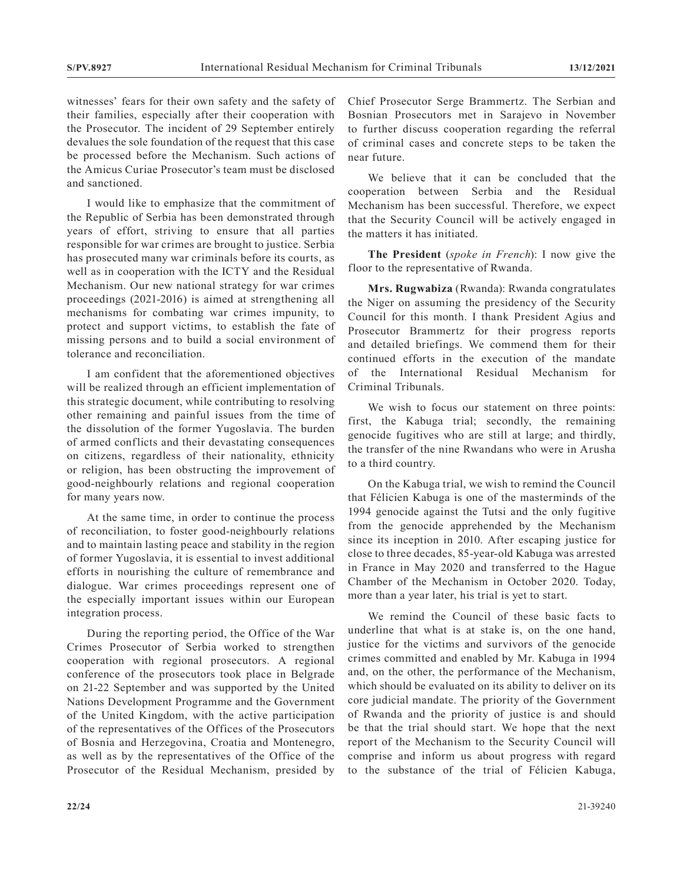witnesses' fears for their own safety and the safety of their families, especially after their cooperation with the Prosecutor. The incident of 29 September entirely devalues the sole foundation of the request that this case be processed before the Mechanism. Such actions of the Amicus Curiae Prosecutor's team must be disclosed and sanctioned.

I would like to emphasize that the commitment of the Republic of Serbia has been demonstrated through years of effort, striving to ensure that all parties responsible for war crimes are brought to justice. Serbia has prosecuted many war criminals before its courts, as well as in cooperation with the ICTY and the Residual Mechanism. Our new national strategy for war crimes proceedings (2021-2016) is aimed at strengthening all mechanisms for combating war crimes impunity, to protect and support victims, to establish the fate of missing persons and to build a social environment of tolerance and reconciliation.

I am confident that the aforementioned objectives will be realized through an efficient implementation of this strategic document, while contributing to resolving other remaining and painful issues from the time of the dissolution of the former Yugoslavia. The burden of armed conflicts and their devastating consequences on citizens, regardless of their nationality, ethnicity or religion, has been obstructing the improvement of good-neighbourly relations and regional cooperation for many years now.

At the same time, in order to continue the process of reconciliation, to foster good-neighbourly relations and to maintain lasting peace and stability in the region of former Yugoslavia, it is essential to invest additional efforts in nourishing the culture of remembrance and dialogue. War crimes proceedings represent one of the especially important issues within our European integration process.

During the reporting period, the Office of the War Crimes Prosecutor of Serbia worked to strengthen cooperation with regional prosecutors. A regional conference of the prosecutors took place in Belgrade on 21-22 September and was supported by the United Nations Development Programme and the Government of the United Kingdom, with the active participation of the representatives of the Offices of the Prosecutors of Bosnia and Herzegovina, Croatia and Montenegro, as well as by the representatives of the Office of the Prosecutor of the Residual Mechanism, presided by

Chief Prosecutor Serge Brammertz. The Serbian and Bosnian Prosecutors met in Sarajevo in November to further discuss cooperation regarding the referral of criminal cases and concrete steps to be taken the near future.

We believe that it can be concluded that the cooperation between Serbia and the Residual Mechanism has been successful. Therefore, we expect that the Security Council will be actively engaged in the matters it has initiated.

**The President** (*spoke in French*): I now give the floor to the representative of Rwanda.

**Mrs. Rugwabiza** (Rwanda): Rwanda congratulates the Niger on assuming the presidency of the Security Council for this month. I thank President Agius and Prosecutor Brammertz for their progress reports and detailed briefings. We commend them for their continued efforts in the execution of the mandate of the International Residual Mechanism for Criminal Tribunals.

We wish to focus our statement on three points: first, the Kabuga trial; secondly, the remaining genocide fugitives who are still at large; and thirdly, the transfer of the nine Rwandans who were in Arusha to a third country.

On the Kabuga trial, we wish to remind the Council that Félicien Kabuga is one of the masterminds of the 1994 genocide against the Tutsi and the only fugitive from the genocide apprehended by the Mechanism since its inception in 2010. After escaping justice for close to three decades, 85-year-old Kabuga was arrested in France in May 2020 and transferred to the Hague Chamber of the Mechanism in October 2020. Today, more than a year later, his trial is yet to start.

We remind the Council of these basic facts to underline that what is at stake is, on the one hand, justice for the victims and survivors of the genocide crimes committed and enabled by Mr. Kabuga in 1994 and, on the other, the performance of the Mechanism, which should be evaluated on its ability to deliver on its core judicial mandate. The priority of the Government of Rwanda and the priority of justice is and should be that the trial should start. We hope that the next report of the Mechanism to the Security Council will comprise and inform us about progress with regard to the substance of the trial of Félicien Kabuga,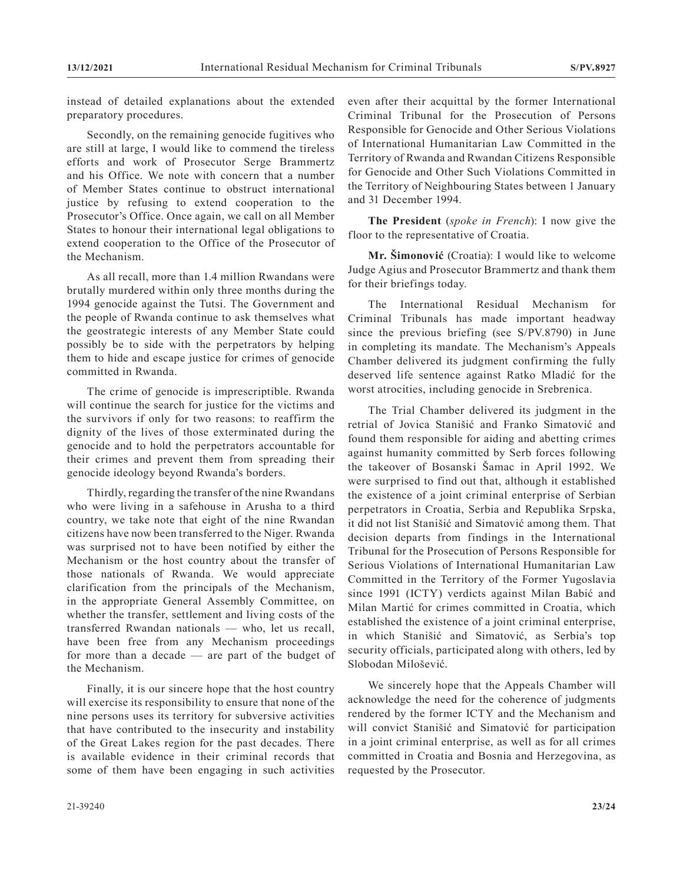instead of detailed explanations about the extended preparatory procedures.

Secondly, on the remaining genocide fugitives who are still at large, I would like to commend the tireless efforts and work of Prosecutor Serge Brammertz and his Office. We note with concern that a number of Member States continue to obstruct international justice by refusing to extend cooperation to the Prosecutor's Office. Once again, we call on all Member States to honour their international legal obligations to extend cooperation to the Office of the Prosecutor of the Mechanism.

As all recall, more than 1.4 million Rwandans were brutally murdered within only three months during the 1994 genocide against the Tutsi. The Government and the people of Rwanda continue to ask themselves what the geostrategic interests of any Member State could possibly be to side with the perpetrators by helping them to hide and escape justice for crimes of genocide committed in Rwanda.

The crime of genocide is imprescriptible. Rwanda will continue the search for justice for the victims and the survivors if only for two reasons: to reaffirm the dignity of the lives of those exterminated during the genocide and to hold the perpetrators accountable for their crimes and prevent them from spreading their genocide ideology beyond Rwanda's borders.

Thirdly, regarding the transfer of the nine Rwandans who were living in a safehouse in Arusha to a third country, we take note that eight of the nine Rwandan citizens have now been transferred to the Niger. Rwanda was surprised not to have been notified by either the Mechanism or the host country about the transfer of those nationals of Rwanda. We would appreciate clarification from the principals of the Mechanism, in the appropriate General Assembly Committee, on whether the transfer, settlement and living costs of the transferred Rwandan nationals — who, let us recall, have been free from any Mechanism proceedings for more than a decade — are part of the budget of the Mechanism.

Finally, it is our sincere hope that the host country will exercise its responsibility to ensure that none of the nine persons uses its territory for subversive activities that have contributed to the insecurity and instability of the Great Lakes region for the past decades. There is available evidence in their criminal records that some of them have been engaging in such activities even after their acquittal by the former International Criminal Tribunal for the Prosecution of Persons Responsible for Genocide and Other Serious Violations of International Humanitarian Law Committed in the Territory of Rwanda and Rwandan Citizens Responsible for Genocide and Other Such Violations Committed in the Territory of Neighbouring States between 1 January and 31 December 1994.

**The President** (*spoke in French*): I now give the floor to the representative of Croatia.

**Mr. Šimonović** (Croatia): I would like to welcome Judge Agius and Prosecutor Brammertz and thank them for their briefings today.

The International Residual Mechanism for Criminal Tribunals has made important headway since the previous briefing (see S/PV.8790) in June in completing its mandate. The Mechanism's Appeals Chamber delivered its judgment confirming the fully deserved life sentence against Ratko Mladić for the worst atrocities, including genocide in Srebrenica.

The Trial Chamber delivered its judgment in the retrial of Jovica Stanišić and Franko Simatović and found them responsible for aiding and abetting crimes against humanity committed by Serb forces following the takeover of Bosanski Šamac in April 1992. We were surprised to find out that, although it established the existence of a joint criminal enterprise of Serbian perpetrators in Croatia, Serbia and Republika Srpska, it did not list Stanišić and Simatović among them. That decision departs from findings in the International Tribunal for the Prosecution of Persons Responsible for Serious Violations of International Humanitarian Law Committed in the Territory of the Former Yugoslavia since 1991 (ICTY) verdicts against Milan Babić and Milan Martić for crimes committed in Croatia, which established the existence of a joint criminal enterprise, in which Stanišić and Simatović, as Serbia's top security officials, participated along with others, led by Slobodan Milošević.

We sincerely hope that the Appeals Chamber will acknowledge the need for the coherence of judgments rendered by the former ICTY and the Mechanism and will convict Stanišić and Simatović for participation in a joint criminal enterprise, as well as for all crimes committed in Croatia and Bosnia and Herzegovina, as requested by the Prosecutor.